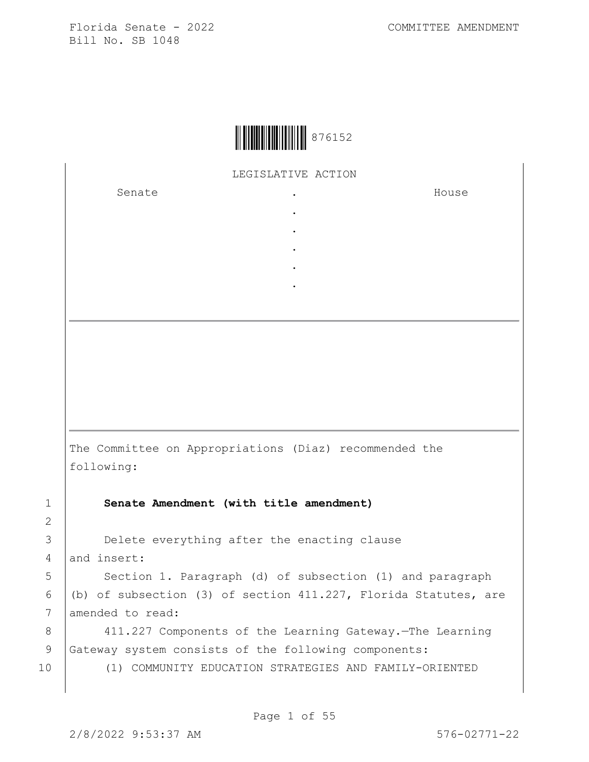

LEGISLATIVE ACTION

. . . . .

Senate .

House

The Committee on Appropriations (Diaz) recommended the following:

1 **Senate Amendment (with title amendment)**

3 **Delete everything after the enacting clause** 4 and insert:

5 | Section 1. Paragraph (d) of subsection (1) and paragraph 6 (b) of subsection (3) of section 411.227, Florida Statutes, are 7 amended to read:

8 411.227 Components of the Learning Gateway.—The Learning 9 Gateway system consists of the following components:

10 (1) COMMUNITY EDUCATION STRATEGIES AND FAMILY-ORIENTED

2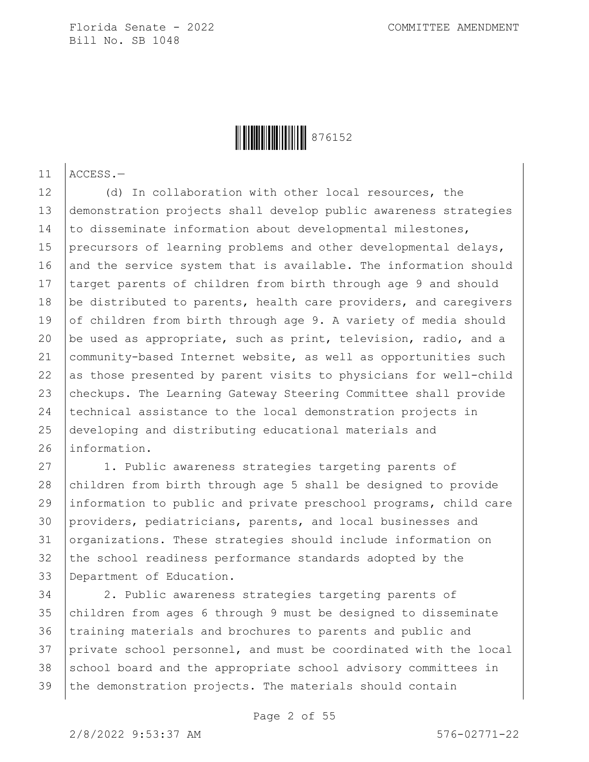

11 ACCESS.—

12 (d) In collaboration with other local resources, the 13 demonstration projects shall develop public awareness strategies 14 to disseminate information about developmental milestones, 15 precursors of learning problems and other developmental delays, 16 and the service system that is available. The information should 17 target parents of children from birth through age 9 and should 18 be distributed to parents, health care providers, and caregivers 19 of children from birth through age 9. A variety of media should 20 be used as appropriate, such as print, television, radio, and a 21 community-based Internet website, as well as opportunities such 22 as those presented by parent visits to physicians for well-child 23 checkups. The Learning Gateway Steering Committee shall provide 24 technical assistance to the local demonstration projects in 25 developing and distributing educational materials and 26 information.

27 | 1. Public awareness strategies targeting parents of 28 children from birth through age 5 shall be designed to provide 29 information to public and private preschool programs, child care 30 providers, pediatricians, parents, and local businesses and 31 organizations. These strategies should include information on 32 the school readiness performance standards adopted by the 33 Department of Education.

34 2. Public awareness strategies targeting parents of 35 children from ages 6 through 9 must be designed to disseminate 36 training materials and brochures to parents and public and 37 private school personnel, and must be coordinated with the local 38 school board and the appropriate school advisory committees in 39 the demonstration projects. The materials should contain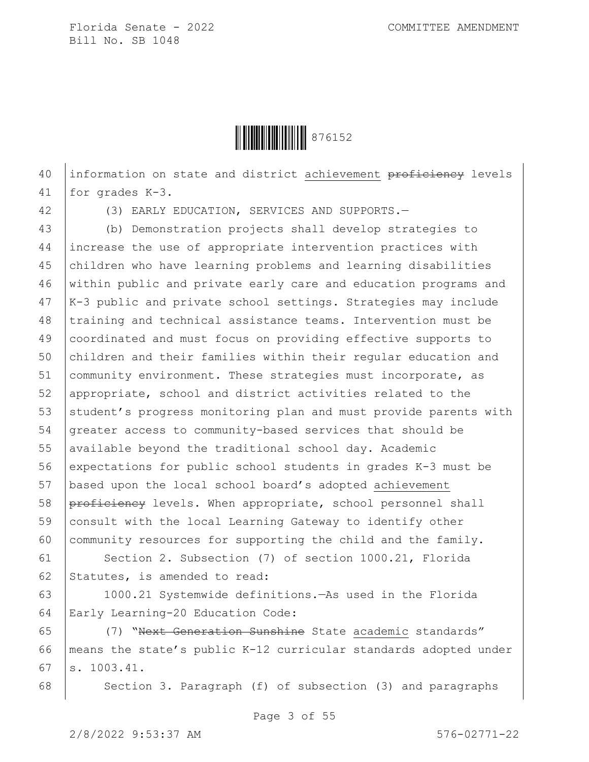

40 information on state and district achievement proficiency levels 41 for grades K-3.

42 (3) EARLY EDUCATION, SERVICES AND SUPPORTS.—

 (b) Demonstration projects shall develop strategies to increase the use of appropriate intervention practices with children who have learning problems and learning disabilities within public and private early care and education programs and K-3 public and private school settings. Strategies may include 48 | training and technical assistance teams. Intervention must be coordinated and must focus on providing effective supports to 50 children and their families within their regular education and 51 community environment. These strategies must incorporate, as appropriate, school and district activities related to the 53 student's progress monitoring plan and must provide parents with greater access to community-based services that should be 55 available beyond the traditional school day. Academic expectations for public school students in grades K-3 must be based upon the local school board's adopted achievement 58 proficiency levels. When appropriate, school personnel shall consult with the local Learning Gateway to identify other 60 community resources for supporting the child and the family.

61 Section 2. Subsection (7) of section 1000.21, Florida 62 Statutes, is amended to read:

63 1000.21 Systemwide definitions.—As used in the Florida 64 Early Learning-20 Education Code:

65 (7) "Next Generation Sunshine State academic standards" 66 means the state's public K-12 curricular standards adopted under  $67$  s.  $1003.41$ .

68 | Section 3. Paragraph (f) of subsection (3) and paragraphs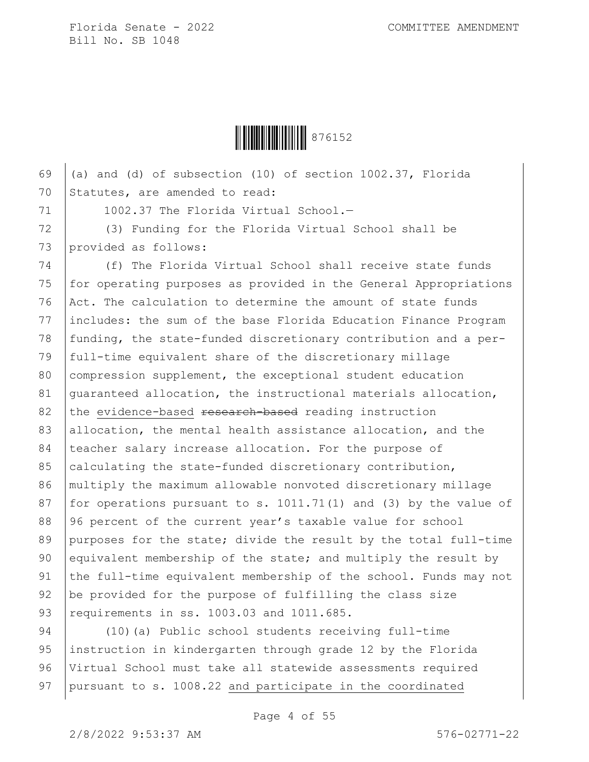

69  $($ a) and (d) of subsection (10) of section 1002.37, Florida 70 Statutes, are amended to read:

71 | 1002.37 The Florida Virtual School.-

72 (3) Funding for the Florida Virtual School shall be 73 provided as follows:

74 (f) The Florida Virtual School shall receive state funds 75 for operating purposes as provided in the General Appropriations 76 Act. The calculation to determine the amount of state funds 77 includes: the sum of the base Florida Education Finance Program 78 funding, the state-funded discretionary contribution and a per-79 full-time equivalent share of the discretionary millage 80 compression supplement, the exceptional student education 81 quaranteed allocation, the instructional materials allocation, 82 the evidence-based research-based reading instruction 83 allocation, the mental health assistance allocation, and the 84 teacher salary increase allocation. For the purpose of 85 calculating the state-funded discretionary contribution, 86 multiply the maximum allowable nonvoted discretionary millage 87 | for operations pursuant to s. 1011.71(1) and (3) by the value of 88 96 percent of the current year's taxable value for school 89 purposes for the state; divide the result by the total full-time 90 equivalent membership of the state; and multiply the result by 91 the full-time equivalent membership of the school. Funds may not 92 be provided for the purpose of fulfilling the class size 93 | requirements in ss. 1003.03 and 1011.685.

 (10)(a) Public school students receiving full-time instruction in kindergarten through grade 12 by the Florida Virtual School must take all statewide assessments required 97 pursuant to s. 1008.22 and participate in the coordinated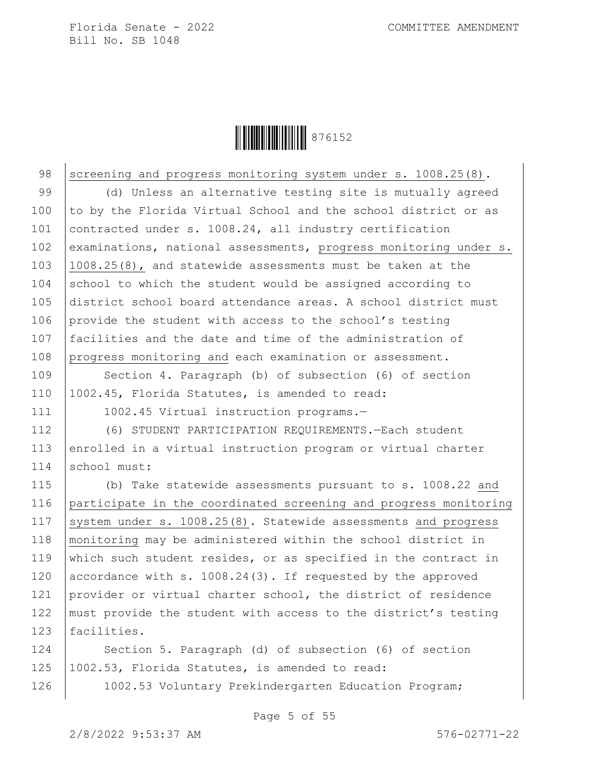

98 screening and progress monitoring system under s. 1008.25(8).

99 (d) Unless an alternative testing site is mutually agreed 100 to by the Florida Virtual School and the school district or as 101 contracted under s. 1008.24, all industry certification 102 examinations, national assessments, progress monitoring under s. 103 1008.25(8), and statewide assessments must be taken at the 104 school to which the student would be assigned according to 105 district school board attendance areas. A school district must 106 provide the student with access to the school's testing 107 facilities and the date and time of the administration of 108 progress monitoring and each examination or assessment.

109 Section 4. Paragraph (b) of subsection (6) of section 110 1002.45, Florida Statutes, is amended to read:

111 | 1002.45 Virtual instruction programs.-

112 (6) STUDENT PARTICIPATION REQUIREMENTS.—Each student 113 enrolled in a virtual instruction program or virtual charter 114 school must:

115 (b) Take statewide assessments pursuant to s. 1008.22 and 116 participate in the coordinated screening and progress monitoring 117 | system under s. 1008.25(8). Statewide assessments and progress 118 monitoring may be administered within the school district in 119 which such student resides, or as specified in the contract in 120 accordance with s. 1008.24(3). If requested by the approved 121 provider or virtual charter school, the district of residence 122 must provide the student with access to the district's testing 123 | facilities.

124 Section 5. Paragraph (d) of subsection (6) of section 125 1002.53, Florida Statutes, is amended to read:

126 1002.53 Voluntary Prekindergarten Education Program;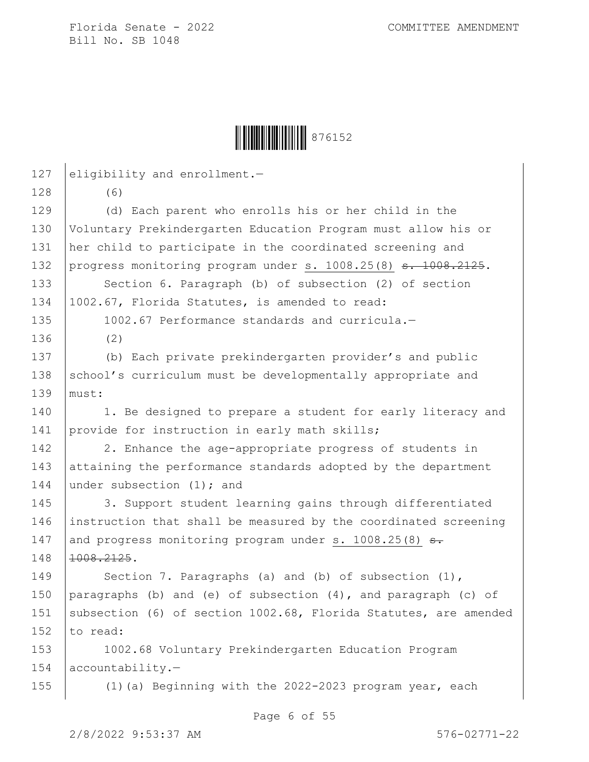**││││││││││││││** 876152

127 eligibility and enrollment.-128 (6) 129 (d) Each parent who enrolls his or her child in the 130 Voluntary Prekindergarten Education Program must allow his or 131 her child to participate in the coordinated screening and 132 progress monitoring program under s. 1008.25(8) s. 1008.2125. 133 Section 6. Paragraph (b) of subsection (2) of section 134 1002.67, Florida Statutes, is amended to read: 135 1002.67 Performance standards and curricula.-136 (2) 137 (b) Each private prekindergarten provider's and public 138  $|$  school's curriculum must be developmentally appropriate and 139 must: 140 | 1. Be designed to prepare a student for early literacy and 141 provide for instruction in early math skills; 142 2. Enhance the age-appropriate progress of students in 143 attaining the performance standards adopted by the department 144 under subsection (1); and 145 3. Support student learning gains through differentiated 146 instruction that shall be measured by the coordinated screening 147 and progress monitoring program under s. 1008.25(8)  $\epsilon$ . 148 1008.2125. 149 Section 7. Paragraphs (a) and (b) of subsection (1), 150 paragraphs (b) and (e) of subsection  $(4)$ , and paragraph (c) of 151 subsection (6) of section 1002.68, Florida Statutes, are amended 152  $\vert$  to read: 153 1002.68 Voluntary Prekindergarten Education Program 154 accountability.— 155 (1)(a) Beginning with the 2022-2023 program year, each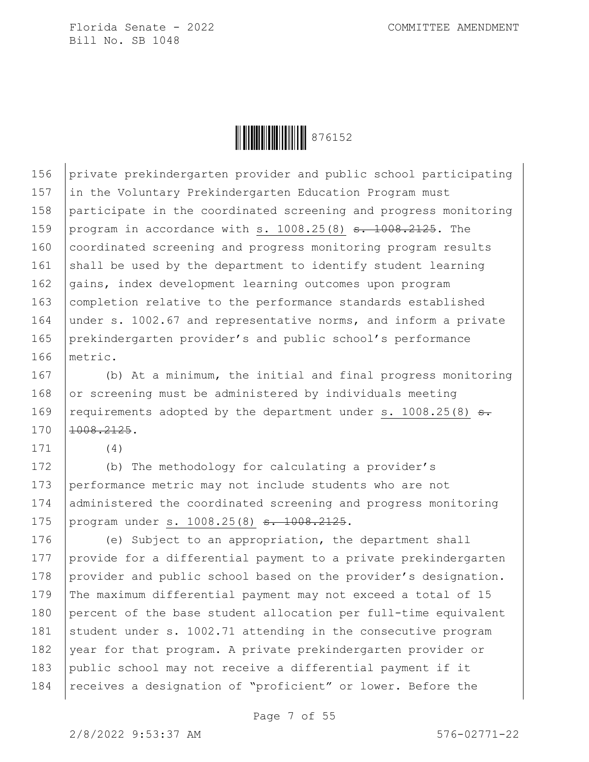

156 private prekindergarten provider and public school participating 157 in the Voluntary Prekindergarten Education Program must 158 participate in the coordinated screening and progress monitoring 159 program in accordance with s.  $1008.25(8)$   $\overline{s}$ .  $1008.2125$ . The 160 coordinated screening and progress monitoring program results 161 shall be used by the department to identify student learning 162 gains, index development learning outcomes upon program 163 completion relative to the performance standards established 164 under s. 1002.67 and representative norms, and inform a private 165 prekindergarten provider's and public school's performance 166 metric.

 (b) At a minimum, the initial and final progress monitoring or screening must be administered by individuals meeting 169 | requirements adopted by the department under s. 1008.25(8)  $s$ .  $1008.2125$ .

171 (4)

172 (b) The methodology for calculating a provider's 173 performance metric may not include students who are not 174 administered the coordinated screening and progress monitoring 175 | program under s. 1008.25(8) <del>s. 1008.2125</del>.

176 (e) Subject to an appropriation, the department shall 177 provide for a differential payment to a private prekindergarten 178 provider and public school based on the provider's designation. 179 The maximum differential payment may not exceed a total of 15 180 percent of the base student allocation per full-time equivalent 181 student under s. 1002.71 attending in the consecutive program 182 year for that program. A private prekindergarten provider or 183 public school may not receive a differential payment if it 184 | receives a designation of "proficient" or lower. Before the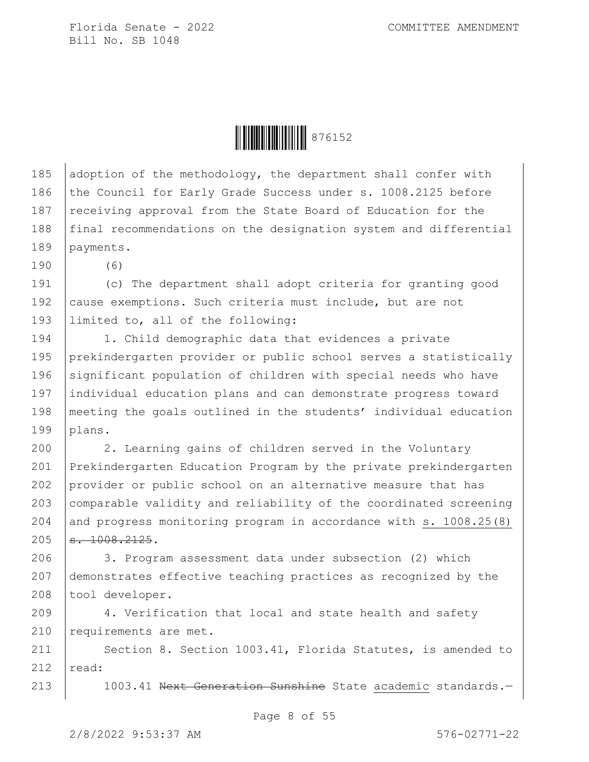Ì876152&Î876152

185 adoption of the methodology, the department shall confer with 186 the Council for Early Grade Success under s. 1008.2125 before 187 receiving approval from the State Board of Education for the 188 final recommendations on the designation system and differential 189 payments.

190 (6)

191 (c) The department shall adopt criteria for granting good 192 cause exemptions. Such criteria must include, but are not 193 limited to, all of the following:

194 1. Child demographic data that evidences a private 195 prekindergarten provider or public school serves a statistically 196 significant population of children with special needs who have 197 individual education plans and can demonstrate progress toward 198 meeting the goals outlined in the students' individual education 199 plans.

 2. Learning gains of children served in the Voluntary Prekindergarten Education Program by the private prekindergarten provider or public school on an alternative measure that has 203 comparable validity and reliability of the coordinated screening and progress monitoring program in accordance with s. 1008.25(8)  $s. 1008.2125.$ 

206 3. Program assessment data under subsection (2) which 207 demonstrates effective teaching practices as recognized by the 208 tool developer.

209 4. Verification that local and state health and safety 210 requirements are met.

211 | Section 8. Section 1003.41, Florida Statutes, is amended to 212  $real:$ 

213 | 1003.41 Next Generation Sunshine State academic standards.-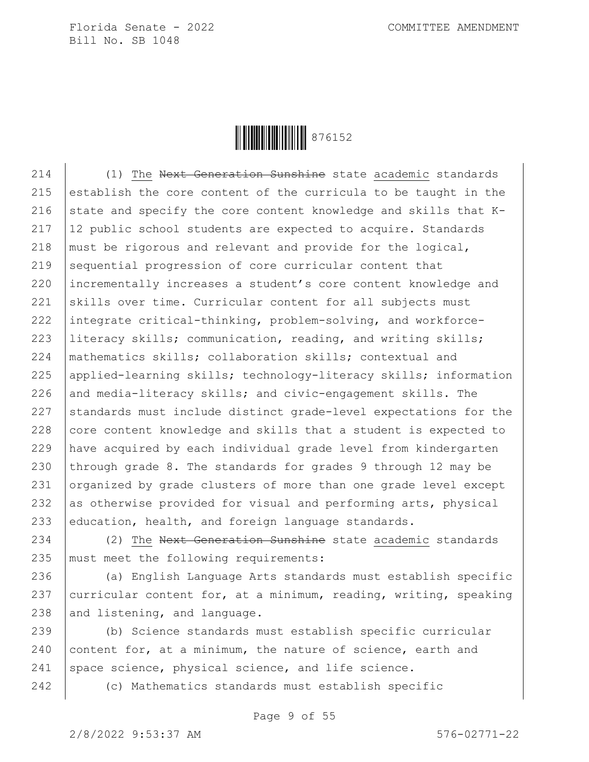

214 (1) The Next Generation Sunshine state academic standards 215 establish the core content of the curricula to be taught in the 216 state and specify the core content knowledge and skills that  $K 217$  | 12 public school students are expected to acquire. Standards 218 | must be rigorous and relevant and provide for the logical, 219 sequential progression of core curricular content that 220 incrementally increases a student's core content knowledge and 221 skills over time. Curricular content for all subjects must 222 integrate critical-thinking, problem-solving, and workforce-223 literacy skills; communication, reading, and writing skills; 224 mathematics skills; collaboration skills; contextual and 225 | applied-learning skills; technology-literacy skills; information  $226$  and media-literacy skills; and civic-engagement skills. The  $227$  standards must include distinct grade-level expectations for the 228  $\vert$  core content knowledge and skills that a student is expected to 229 have acquired by each individual grade level from kindergarten 230 through grade 8. The standards for grades 9 through 12 may be 231 organized by grade clusters of more than one grade level except 232 as otherwise provided for visual and performing arts, physical 233 education, health, and foreign language standards.

234 (2) The Next Generation Sunshine state academic standards 235 must meet the following requirements:

236 (a) English Language Arts standards must establish specific 237 curricular content for, at a minimum, reading, writing, speaking 238 and listening, and language.

239 (b) Science standards must establish specific curricular 240 content for, at a minimum, the nature of science, earth and 241 space science, physical science, and life science.

242 (c) Mathematics standards must establish specific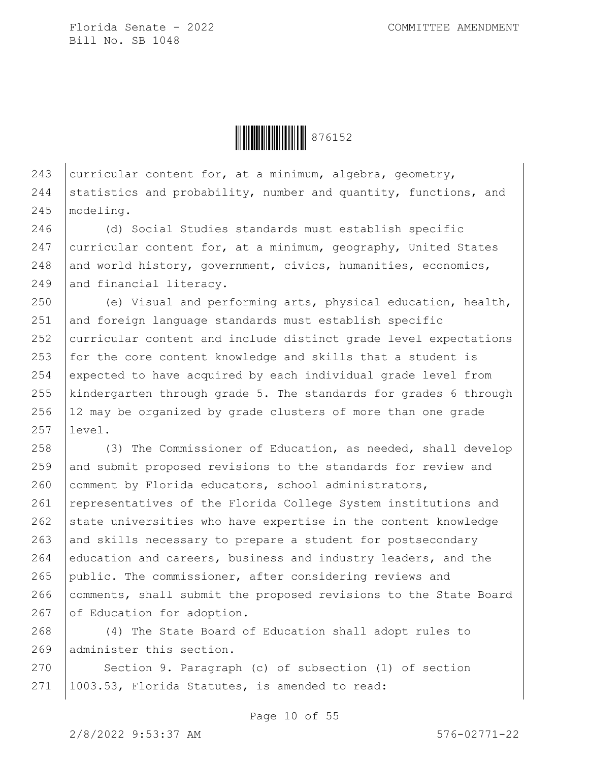**ÖEBEN 1976152** 

243 curricular content for, at a minimum, algebra, geometry, 244 statistics and probability, number and quantity, functions, and 245 modeling.

246 (d) Social Studies standards must establish specific 247 | curricular content for, at a minimum, geography, United States 248 and world history, government, civics, humanities, economics, 249 and financial literacy.

250 (e) Visual and performing arts, physical education, health, 251 and foreign language standards must establish specific 252 curricular content and include distinct grade level expectations 253 for the core content knowledge and skills that a student is 254 expected to have acquired by each individual grade level from 255 kindergarten through grade 5. The standards for grades 6 through 256 12 may be organized by grade clusters of more than one grade 257 level.

258 (3) The Commissioner of Education, as needed, shall develop 259 and submit proposed revisions to the standards for review and 260 comment by Florida educators, school administrators, 261 | representatives of the Florida College System institutions and  $262$  state universities who have expertise in the content knowledge  $263$  and skills necessary to prepare a student for postsecondary 264 education and careers, business and industry leaders, and the 265 public. The commissioner, after considering reviews and 266 comments, shall submit the proposed revisions to the State Board 267 of Education for adoption.

268 (4) The State Board of Education shall adopt rules to 269 administer this section.

270 Section 9. Paragraph (c) of subsection (1) of section 271 1003.53, Florida Statutes, is amended to read:

Page 10 of 55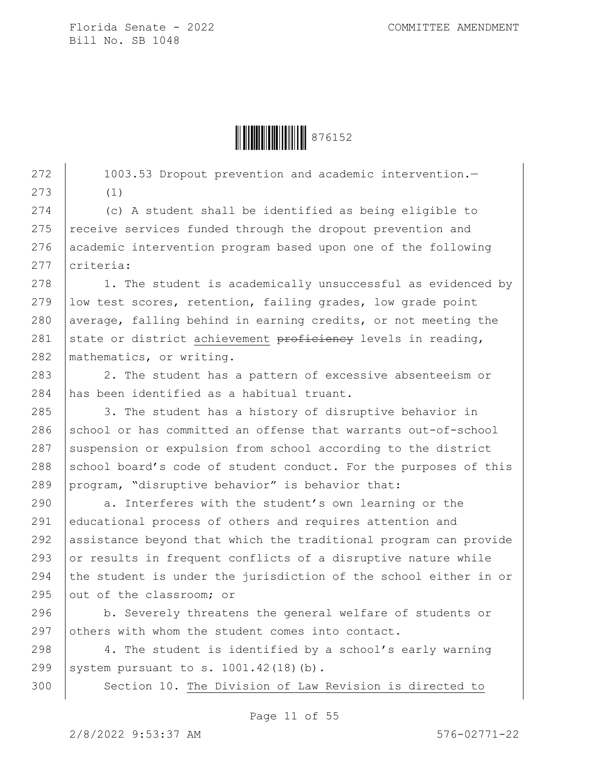**ÖEBEN 1976152** 

272 | 1003.53 Dropout prevention and academic intervention. 273 (1)

274 (c) A student shall be identified as being eligible to  $275$  receive services funded through the dropout prevention and 276 academic intervention program based upon one of the following 277 criteria:

278 1. The student is academically unsuccessful as evidenced by 279 low test scores, retention, failing grades, low grade point 280 average, falling behind in earning credits, or not meeting the 281 state or district achievement  $\overline{preficiency}$  levels in reading, 282 mathematics, or writing.

283 2. The student has a pattern of excessive absenteeism or 284 has been identified as a habitual truant.

285 | 3. The student has a history of disruptive behavior in 286 school or has committed an offense that warrants out-of-school 287 suspension or expulsion from school according to the district 288 school board's code of student conduct. For the purposes of this 289 program, "disruptive behavior" is behavior that:

290 a. Interferes with the student's own learning or the 291 educational process of others and requires attention and 292 assistance beyond that which the traditional program can provide 293  $\sigma$  or results in frequent conflicts of a disruptive nature while 294 the student is under the jurisdiction of the school either in or 295  $\vert$  out of the classroom; or

296 b. Severely threatens the general welfare of students or 297 others with whom the student comes into contact.

298 4. The student is identified by a school's early warning 299 system pursuant to s.  $1001.42(18)(b)$ .

300 Section 10. The Division of Law Revision is directed to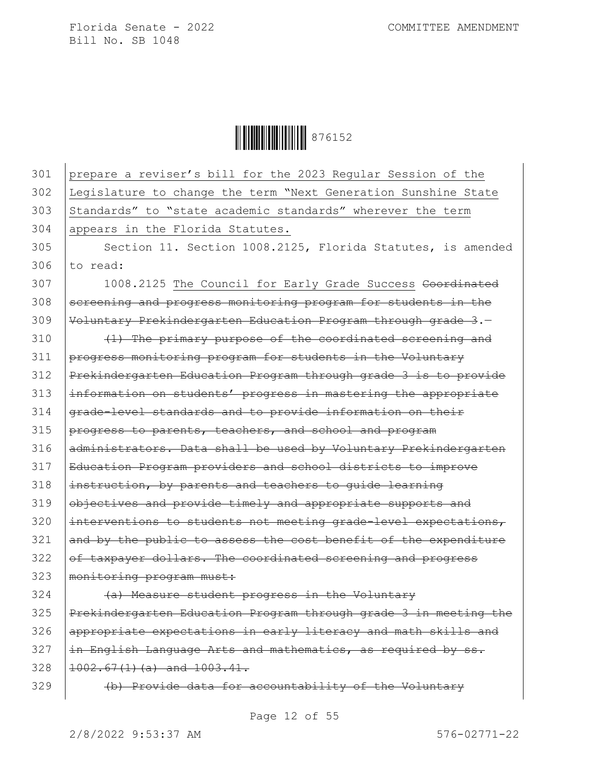Ì876152&Î876152

301 prepare a reviser's bill for the 2023 Regular Session of the 302 Legislature to change the term "Next Generation Sunshine State 303 Standards" to "state academic standards" wherever the term 304 appears in the Florida Statutes. 305 | Section 11. Section 1008.2125, Florida Statutes, is amended  $306$  to read: 307 1008.2125 The Council for Early Grade Success Coordinated 308 screening and progress monitoring program for students in the 309 Voluntary Prekindergarten Education Program through grade 3.— 310 (4) The primary purpose of the coordinated screening and 311 progress monitoring program for students in the Voluntary 312 Prekindergarten Education Program through grade 3 is to provide 313 information on students' progress in mastering the appropriate 314 grade-level standards and to provide information on their  $315$  progress to parents, teachers, and school and program 316 administrators. Data shall be used by Voluntary Prekindergarten 317 Education Program providers and school districts to improve  $318$  |instruction, by parents and teachers to guide learning 319 objectives and provide timely and appropriate supports and  $320$  |interventions to students not meeting grade-level expectations,  $321$  and by the public to assess the cost benefit of the expenditure  $322$  of taxpayer dollars. The coordinated screening and progress 323 | monitoring program must:  $324$   $(4)$  Measure student progress in the Voluntary 325 Prekindergarten Education Program through grade 3 in meeting the

326 appropriate expectations in early literacy and math skills and  $327$   $\pm$ n English Language Arts and mathematics, as required by ss.  $328$   $1002.67(1)(a)$  and  $1003.41$ .

329 (b) Provide data for accountability of the Voluntary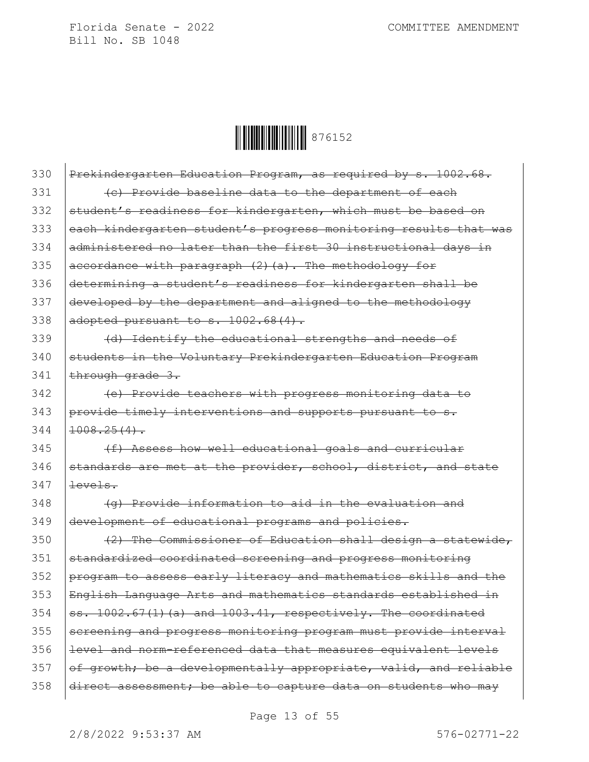

| 330 | Prekindergarten Education Program, as required by s. 1002.68.    |
|-----|------------------------------------------------------------------|
| 331 | (c) Provide baseline data to the department of each              |
| 332 | student's readiness for kindergarten, which must be based on     |
| 333 | each kindergarten student's progress monitoring results that was |
| 334 | administered no later than the first 30 instructional days in    |
| 335 | accordance with paragraph (2) (a). The methodology for           |
| 336 | determining a student's readiness for kindergarten shall be      |
| 337 | developed by the department and aligned to the methodology       |
| 338 | adopted pursuant to s. 1002.68(4).                               |
| 339 | (d) Identify the educational strengths and needs of              |
| 340 | students in the Voluntary Prekindergarten Education Program      |
| 341 | through grade 3.                                                 |
| 342 | (e) Provide teachers with progress monitoring data to            |
| 343 | provide timely interventions and supports pursuant to s.         |
| 344 | $1008.25(4)$ .                                                   |
| 345 | (f) Assess how well educational goals and curricular             |
| 346 | standards are met at the provider, school, district, and state   |
| 347 | <del>levels.</del>                                               |
| 348 | (g) Provide information to aid in the evaluation and             |
| 349 | development of educational programs and policies.                |
| 350 | (2) The Commissioner of Education shall design a statewide,      |
| 351 | standardized coordinated screening and progress monitoring       |
| 352 | program to assess early literacy and mathematics skills and the  |
| 353 | English Language Arts and mathematics standards established in   |
| 354 | ss. 1002.67(1)(a) and 1003.41, respectively. The coordinated     |
| 355 | screening and progress monitoring program must provide interval  |
| 356 | level and norm-referenced data that measures equivalent levels   |
| 357 | of growth; be a developmentally appropriate, valid, and reliable |
| 358 | direct assessment; be able to capture data on students who may   |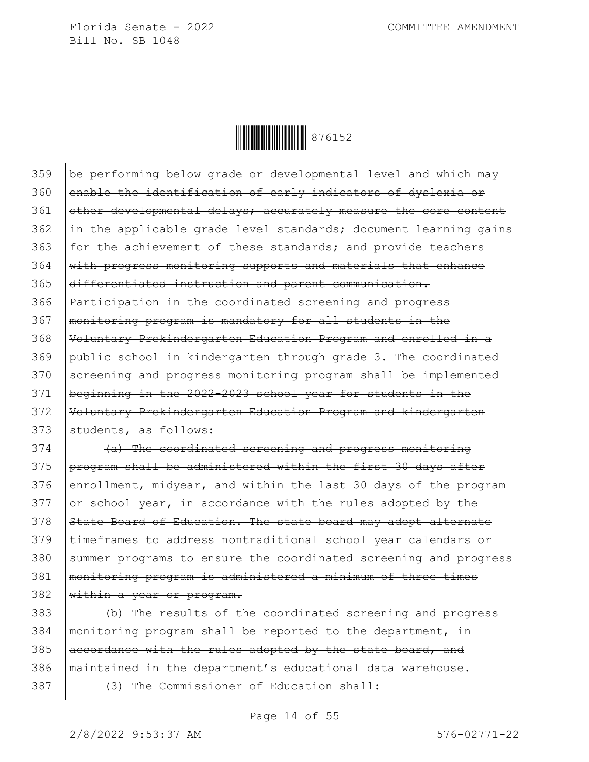

359 be performing below grade or developmental level and which may 360 enable the identification of early indicators of dyslexia or 361 other developmental delays; accurately measure the core content 362 in the applicable grade level standards; document learning gains 363 | for the achievement of these standards; and provide teachers 364 with progress monitoring supports and materials that enhance 365 differentiated instruction and parent communication. 366 Participation in the coordinated screening and progress 367 monitoring program is mandatory for all students in the 368 Voluntary Prekindergarten Education Program and enrolled in a 369 public school in kindergarten through grade 3. The coordinated 370 Sereening and progress monitoring program shall be implemented 371 beginning in the 2022-2023 school year for students in the 372 Voluntary Prekindergarten Education Program and kindergarten 373 Students, as follows:

374 (a) The coordinated screening and progress monitoring 375 program shall be administered within the first 30 days after 376 enrollment, midyear, and within the last 30 days of the program  $377$  or school year, in accordance with the rules adopted by the 378 State Board of Education. The state board may adopt alternate 379 | timeframes to address nontraditional school year calendars or 380 summer programs to ensure the coordinated screening and progress 381 monitoring program is administered a minimum of three times  $382$  within a year or program.

383 (b) The results of the coordinated screening and progress 384 | monitoring program shall be reported to the department, in 385  $|$  accordance with the rules adopted by the state board, and 386 | maintained in the department's educational data warehouse. 387 (3) The Commissioner of Education shall:

Page 14 of 55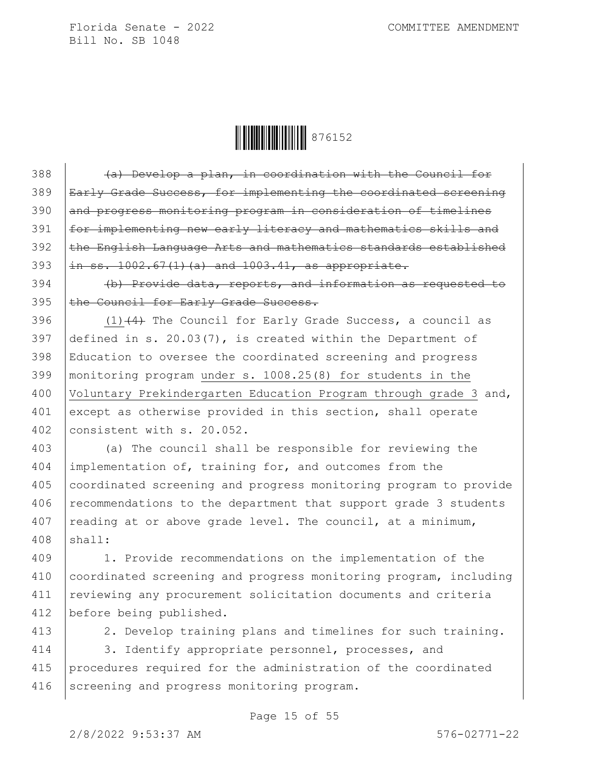**ÖEBEN 1976152** 

 $388$  (a) Develop a plan, in coordination with the Council for 389 | Early Grade Success, for implementing the coordinated screening 390 and progress monitoring program in consideration of timelines 391 | for implementing new early literacy and mathematics skills and 392 the English Language Arts and mathematics standards established 393  $\int$ in ss. 1002.67(1)(a) and 1003.41, as appropriate.

394 (b) Provide data, reports, and information as requested to 395 the Council for Early Grade Success.

396  $(1)$   $(4)$  The Council for Early Grade Success, a council as 397 defined in s. 20.03(7), is created within the Department of 398 Education to oversee the coordinated screening and progress 399 monitoring program under s. 1008.25(8) for students in the 400 Voluntary Prekindergarten Education Program through grade 3 and, 401 except as otherwise provided in this section, shall operate 402 consistent with s. 20.052.

403 (a) The council shall be responsible for reviewing the 404 implementation of, training for, and outcomes from the 405 coordinated screening and progress monitoring program to provide  $406$  recommendations to the department that support grade 3 students 407 | reading at or above grade level. The council, at a minimum,  $408$  shall:

 1. Provide recommendations on the implementation of the coordinated screening and progress monitoring program, including 411 | reviewing any procurement solicitation documents and criteria before being published.

413 | 2. Develop training plans and timelines for such training.

414 3. Identify appropriate personnel, processes, and 415 procedures required for the administration of the coordinated 416 Screening and progress monitoring program.

Page 15 of 55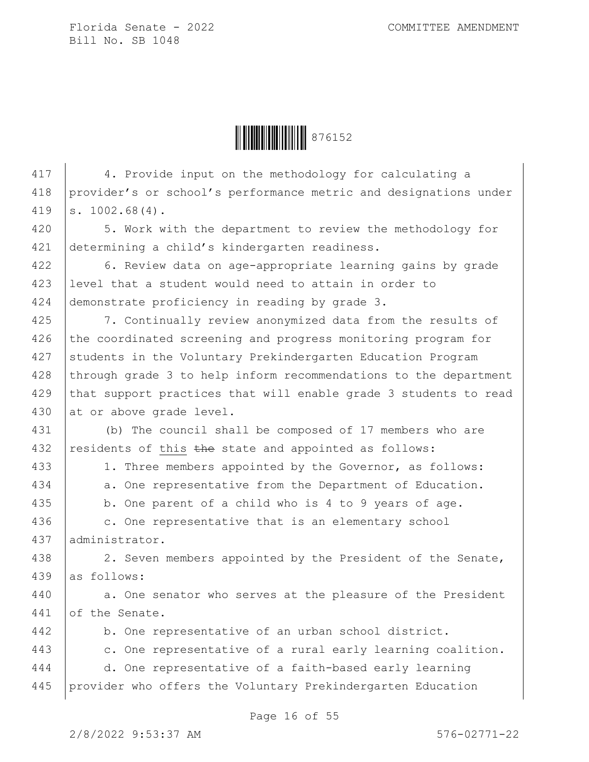**ÖEBEN 1976152** 

417 4. Provide input on the methodology for calculating a 418 provider's or school's performance metric and designations under 419 s. 1002.68(4). 420 | 5. Work with the department to review the methodology for 421 determining a child's kindergarten readiness. 422 | 6. Review data on age-appropriate learning gains by grade 423 level that a student would need to attain in order to 424 demonstrate proficiency in reading by grade 3. 425 | 7. Continually review anonymized data from the results of 426 the coordinated screening and progress monitoring program for 427 Students in the Voluntary Prekindergarten Education Program 428 through grade 3 to help inform recommendations to the department 429 that support practices that will enable grade 3 students to read 430 at or above grade level. 431 (b) The council shall be composed of 17 members who are 432 residents of this  $the$  state and appointed as follows: 433 | 1. Three members appointed by the Governor, as follows: 434 a. One representative from the Department of Education. 435 b. One parent of a child who is 4 to 9 years of age. 436 c. One representative that is an elementary school 437 administrator. 438 2. Seven members appointed by the President of the Senate, 439 as follows: 440 a. One senator who serves at the pleasure of the President 441 of the Senate. 442 b. One representative of an urban school district. 443 c. One representative of a rural early learning coalition. 444 d. One representative of a faith-based early learning 445 provider who offers the Voluntary Prekindergarten Education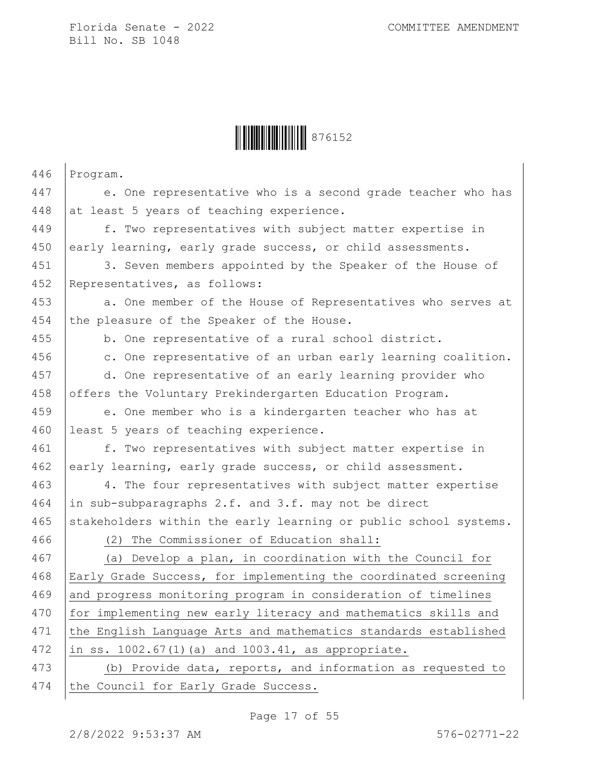

| 446 | Program.                                                         |
|-----|------------------------------------------------------------------|
| 447 | e. One representative who is a second grade teacher who has      |
| 448 | at least 5 years of teaching experience.                         |
| 449 | f. Two representatives with subject matter expertise in          |
| 450 | early learning, early grade success, or child assessments.       |
| 451 | 3. Seven members appointed by the Speaker of the House of        |
| 452 | Representatives, as follows:                                     |
| 453 | a. One member of the House of Representatives who serves at      |
| 454 | the pleasure of the Speaker of the House.                        |
| 455 | b. One representative of a rural school district.                |
| 456 | c. One representative of an urban early learning coalition.      |
| 457 | d. One representative of an early learning provider who          |
| 458 | offers the Voluntary Prekindergarten Education Program.          |
| 459 | e. One member who is a kindergarten teacher who has at           |
| 460 | least 5 years of teaching experience.                            |
| 461 | f. Two representatives with subject matter expertise in          |
| 462 | early learning, early grade success, or child assessment.        |
| 463 | 4. The four representatives with subject matter expertise        |
| 464 | in sub-subparagraphs 2.f. and 3.f. may not be direct             |
| 465 | stakeholders within the early learning or public school systems. |
| 466 | (2) The Commissioner of Education shall:                         |
| 467 | (a) Develop a plan, in coordination with the Council for         |
| 468 | Early Grade Success, for implementing the coordinated screening  |
| 469 | and progress monitoring program in consideration of timelines    |
| 470 | for implementing new early literacy and mathematics skills and   |
| 471 | the English Language Arts and mathematics standards established  |
| 472 | in ss. 1002.67(1)(a) and 1003.41, as appropriate.                |
| 473 | (b) Provide data, reports, and information as requested to       |
| 474 | the Council for Early Grade Success.                             |

Page 17 of 55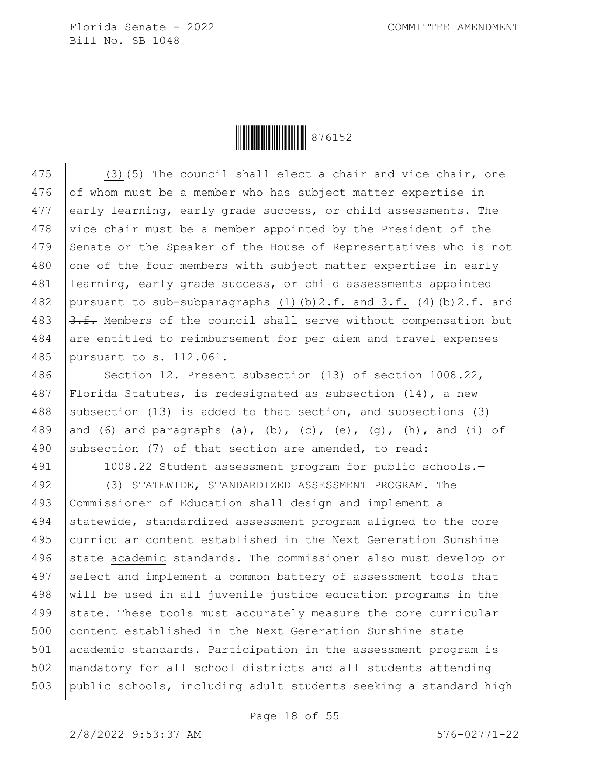

475  $(3)$   $(5)$  The council shall elect a chair and vice chair, one 476 of whom must be a member who has subject matter expertise in 477 early learning, early grade success, or child assessments. The 478 vice chair must be a member appointed by the President of the 479 Senate or the Speaker of the House of Representatives who is not  $480$  one of the four members with subject matter expertise in early 481 learning, early grade success, or child assessments appointed 482 pursuant to sub-subparagraphs (1)(b)2.f. and 3.f.  $(4)$  (b)2.f. and 483  $\sqrt{3.f.}$  Members of the council shall serve without compensation but 484 are entitled to reimbursement for per diem and travel expenses 485 pursuant to s. 112.061.

486 | Section 12. Present subsection (13) of section 1008.22, 487 Florida Statutes, is redesignated as subsection (14), a new 488 subsection (13) is added to that section, and subsections (3) 489 and (6) and paragraphs (a), (b), (c), (e), (g), (h), and (i) of 490 subsection (7) of that section are amended, to read:

491 1008.22 Student assessment program for public schools.—

492 (3) STATEWIDE, STANDARDIZED ASSESSMENT PROGRAM.—The 493 Commissioner of Education shall design and implement a 494 statewide, standardized assessment program aligned to the core 495 curricular content established in the Next Generation Sunshine 496 state academic standards. The commissioner also must develop or 497 select and implement a common battery of assessment tools that 498 will be used in all juvenile justice education programs in the 499 state. These tools must accurately measure the core curricular 500 content established in the Next Generation Sunshine state 501 academic standards. Participation in the assessment program is 502 mandatory for all school districts and all students attending 503 public schools, including adult students seeking a standard high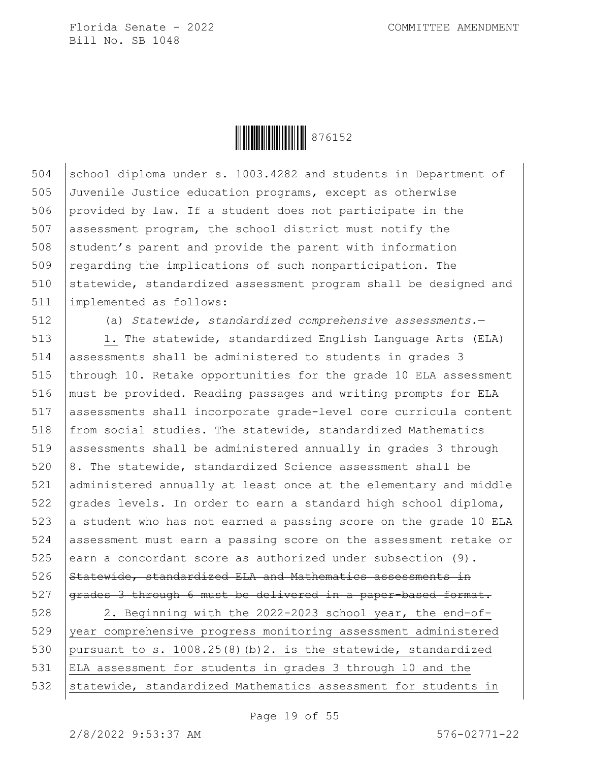

504 school diploma under s. 1003.4282 and students in Department of 505 Juvenile Justice education programs, except as otherwise 506 provided by law. If a student does not participate in the 507 assessment program, the school district must notify the  $508$  student's parent and provide the parent with information 509 regarding the implications of such nonparticipation. The 510 statewide, standardized assessment program shall be designed and 511 implemented as follows:

512 (a) *Statewide, standardized comprehensive assessments.*—

513 | 1. The statewide, standardized English Language Arts (ELA) 514 assessments shall be administered to students in grades 3 515 through 10. Retake opportunities for the grade 10 ELA assessment 516 must be provided. Reading passages and writing prompts for ELA 517 assessments shall incorporate grade-level core curricula content 518 from social studies. The statewide, standardized Mathematics 519 assessments shall be administered annually in grades 3 through  $520$   $8.$  The statewide, standardized Science assessment shall be 521 administered annually at least once at the elementary and middle 522  $q$  arades levels. In order to earn a standard high school diploma,  $523$  a student who has not earned a passing score on the grade 10 ELA 524 assessment must earn a passing score on the assessment retake or 525 earn a concordant score as authorized under subsection  $(9)$ . 526 Statewide, standardized ELA and Mathematics assessments in 527 grades 3 through 6 must be delivered in a paper-based format.

528 2. Beginning with the 2022-2023 school year, the end-of-529 year comprehensive progress monitoring assessment administered 530 pursuant to s. 1008.25(8)(b)2. is the statewide, standardized 531 ELA assessment for students in grades 3 through 10 and the 532 Statewide, standardized Mathematics assessment for students in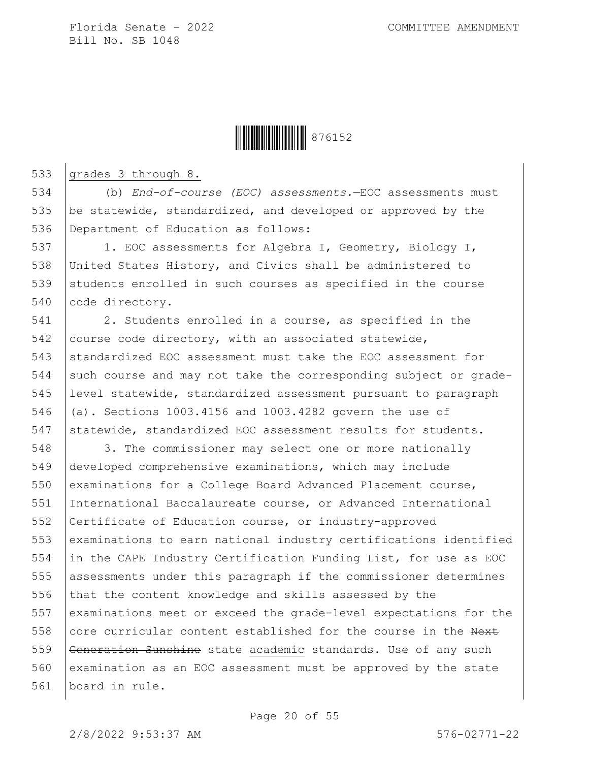

533 grades 3 through 8.

534 (b) *End-of-course (EOC) assessments.*—EOC assessments must 535 be statewide, standardized, and developed or approved by the 536 Department of Education as follows:

537 | 1. EOC assessments for Algebra I, Geometry, Biology I, 538 United States History, and Civics shall be administered to 539 students enrolled in such courses as specified in the course 540 code directory.

541 2. Students enrolled in a course, as specified in the 542 course code directory, with an associated statewide, 543 standardized EOC assessment must take the EOC assessment for 544 such course and may not take the corresponding subject or grade-545 level statewide, standardized assessment pursuant to paragraph 546 (a). Sections 1003.4156 and 1003.4282 govern the use of 547 statewide, standardized EOC assessment results for students.

548 3. The commissioner may select one or more nationally 549 developed comprehensive examinations, which may include 550 examinations for a College Board Advanced Placement course, 551 International Baccalaureate course, or Advanced International 552 Certificate of Education course, or industry-approved 553 examinations to earn national industry certifications identified 554 in the CAPE Industry Certification Funding List, for use as EOC 555 assessments under this paragraph if the commissioner determines 556 that the content knowledge and skills assessed by the 557 examinations meet or exceed the grade-level expectations for the 558 core curricular content established for the course in the Next 559 Generation Sunshine state academic standards. Use of any such 560 examination as an EOC assessment must be approved by the state 561 board in rule.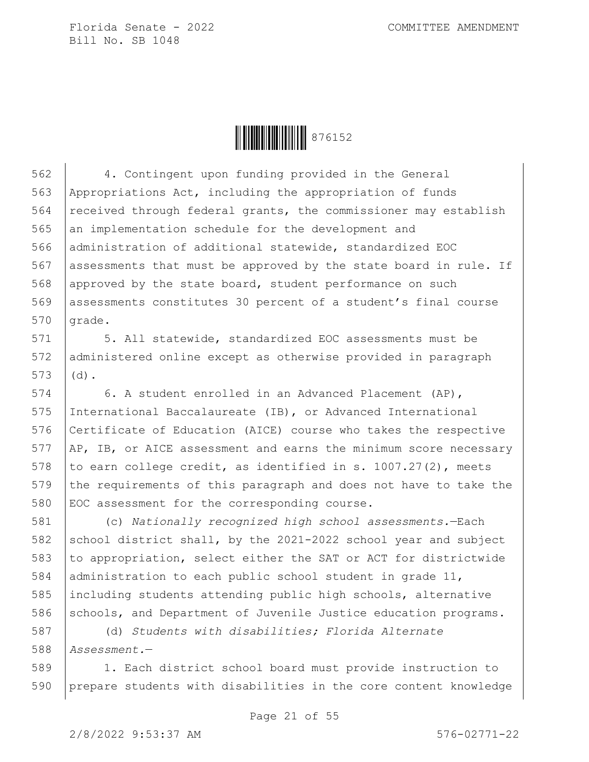

562 4. Contingent upon funding provided in the General 563 Appropriations Act, including the appropriation of funds 564 received through federal grants, the commissioner may establish 565 an implementation schedule for the development and 566 administration of additional statewide, standardized EOC 567 assessments that must be approved by the state board in rule. If 568 approved by the state board, student performance on such 569 assessments constitutes 30 percent of a student's final course  $570$  grade.

571 | 5. All statewide, standardized EOC assessments must be 572 administered online except as otherwise provided in paragraph  $573$  (d).

 6. A student enrolled in an Advanced Placement (AP), International Baccalaureate (IB), or Advanced International Certificate of Education (AICE) course who takes the respective AP, IB, or AICE assessment and earns the minimum score necessary 578 to earn college credit, as identified in s.  $1007.27(2)$ , meets the requirements of this paragraph and does not have to take the EOC assessment for the corresponding course.

581 (c) *Nationally recognized high school assessments.*—Each 582 school district shall, by the 2021-2022 school year and subject 583 to appropriation, select either the SAT or ACT for districtwide 584 administration to each public school student in grade 11, 585 including students attending public high schools, alternative 586 schools, and Department of Juvenile Justice education programs.

587 (d) *Students with disabilities; Florida Alternate*  588 *Assessment.*—

589 1. Each district school board must provide instruction to 590 prepare students with disabilities in the core content knowledge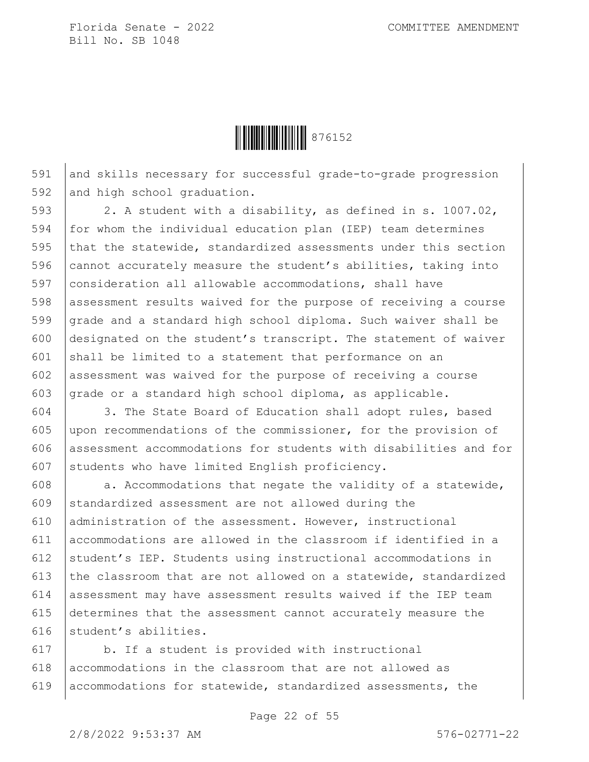

591 and skills necessary for successful grade-to-grade progression 592 and high school graduation.

 $\vert$  2. A student with a disability, as defined in s. 1007.02, for whom the individual education plan (IEP) team determines 595 that the statewide, standardized assessments under this section  $\vert$  cannot accurately measure the student's abilities, taking into consideration all allowable accommodations, shall have 598 assessment results waived for the purpose of receiving a course grade and a standard high school diploma. Such waiver shall be designated on the student's transcript. The statement of waiver 601 shall be limited to a statement that performance on an assessment was waived for the purpose of receiving a course 603 grade or a standard high school diploma, as applicable.

 3. The State Board of Education shall adopt rules, based upon recommendations of the commissioner, for the provision of assessment accommodations for students with disabilities and for 607 students who have limited English proficiency.

 $\vert$  a. Accommodations that negate the validity of a statewide, standardized assessment are not allowed during the administration of the assessment. However, instructional accommodations are allowed in the classroom if identified in a student's IEP. Students using instructional accommodations in  $\vert$  the classroom that are not allowed on a statewide, standardized assessment may have assessment results waived if the IEP team determines that the assessment cannot accurately measure the 616 student's abilities.

617 b. If a student is provided with instructional  $618$  accommodations in the classroom that are not allowed as 619 accommodations for statewide, standardized assessments, the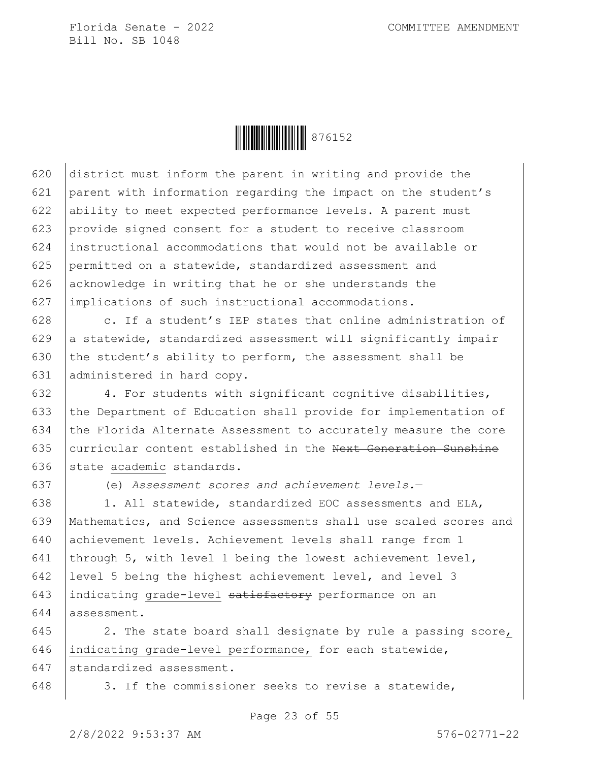

 district must inform the parent in writing and provide the parent with information regarding the impact on the student's ability to meet expected performance levels. A parent must provide signed consent for a student to receive classroom instructional accommodations that would not be available or permitted on a statewide, standardized assessment and 626 acknowledge in writing that he or she understands the implications of such instructional accommodations.

 $\vert$  c. If a student's IEP states that online administration of 629 a statewide, standardized assessment will significantly impair  $\vert$  the student's ability to perform, the assessment shall be administered in hard copy.

632 | 4. For students with significant cognitive disabilities, 633 the Department of Education shall provide for implementation of 634 the Florida Alternate Assessment to accurately measure the core 635 curricular content established in the Next Generation Sunshine 636 state academic standards.

637 (e) *Assessment scores and achievement levels.*—

638 1. All statewide, standardized EOC assessments and ELA, 639 Mathematics, and Science assessments shall use scaled scores and 640 achievement levels. Achievement levels shall range from 1 641 through 5, with level 1 being the lowest achievement level, 642 level 5 being the highest achievement level, and level 3 643 indicating grade-level satisfactory performance on an 644 assessment.

645 2. The state board shall designate by rule a passing score, 646 indicating grade-level performance, for each statewide, 647 standardized assessment.

648 | 3. If the commissioner seeks to revise a statewide,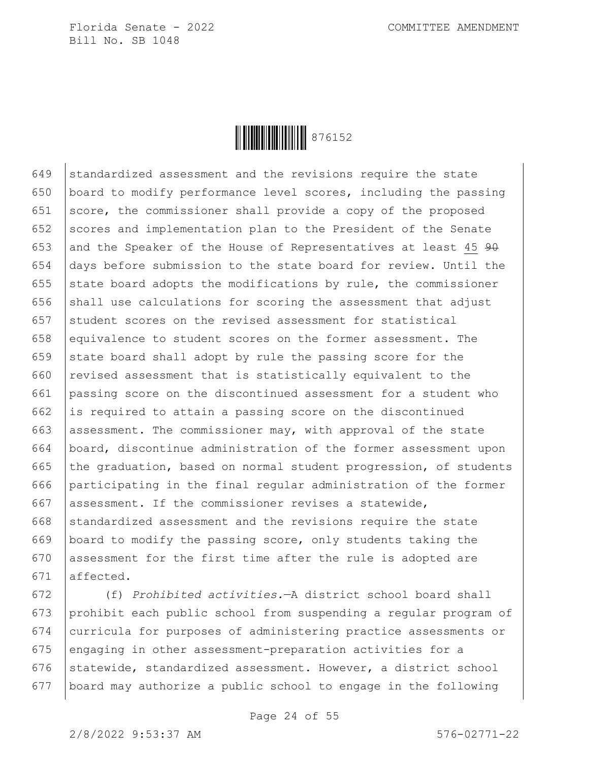

649 standardized assessment and the revisions require the state 650 board to modify performance level scores, including the passing 651 score, the commissioner shall provide a copy of the proposed 652 scores and implementation plan to the President of the Senate 653 and the Speaker of the House of Representatives at least 45  $90$ 654 days before submission to the state board for review. Until the 655 state board adopts the modifications by rule, the commissioner 656 shall use calculations for scoring the assessment that adjust 657 Student scores on the revised assessment for statistical 658 equivalence to student scores on the former assessment. The 659 state board shall adopt by rule the passing score for the 660 revised assessment that is statistically equivalent to the 661 passing score on the discontinued assessment for a student who 662 is required to attain a passing score on the discontinued 663 assessment. The commissioner may, with approval of the state 664 board, discontinue administration of the former assessment upon 665  $\vert$  the graduation, based on normal student progression, of students 666 participating in the final regular administration of the former 667 assessment. If the commissioner revises a statewide,  $668$  standardized assessment and the revisions require the state 669 board to modify the passing score, only students taking the 670 assessment for the first time after the rule is adopted are 671 affected.

 (f) *Prohibited activities.*—A district school board shall prohibit each public school from suspending a regular program of curricula for purposes of administering practice assessments or 675 engaging in other assessment-preparation activities for a 676 statewide, standardized assessment. However, a district school board may authorize a public school to engage in the following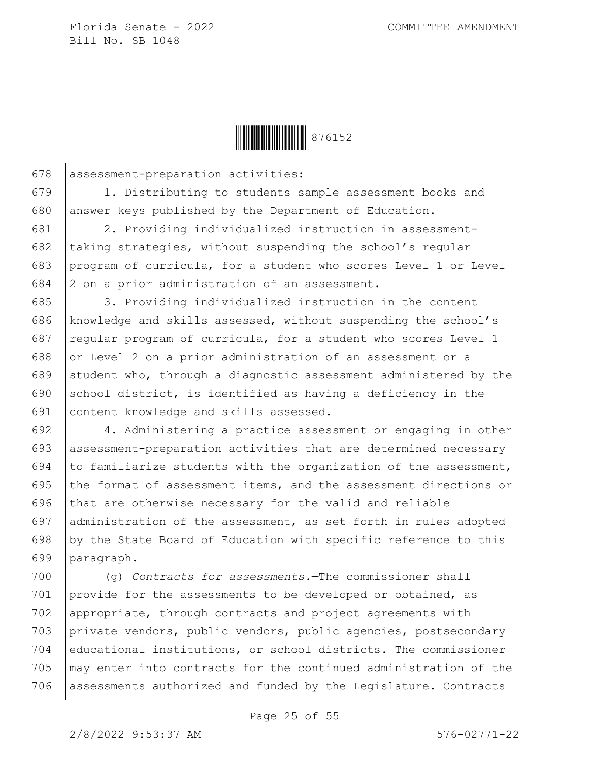

678 assessment-preparation activities:

679 1. Distributing to students sample assessment books and 680 answer keys published by the Department of Education.

 2. Providing individualized instruction in assessment- $\vert$  taking strategies, without suspending the school's regular program of curricula, for a student who scores Level 1 or Level  $\vert$  2 on a prior administration of an assessment.

685 3. Providing individualized instruction in the content 686 knowledge and skills assessed, without suspending the school's 687 regular program of curricula, for a student who scores Level 1 688 or Level 2 on a prior administration of an assessment or a 689 student who, through a diagnostic assessment administered by the 690 school district, is identified as having a deficiency in the 691 content knowledge and skills assessed.

692 4. Administering a practice assessment or engaging in other 693 assessment-preparation activities that are determined necessary 694 to familiarize students with the organization of the assessment, 695 the format of assessment items, and the assessment directions or 696 that are otherwise necessary for the valid and reliable 697 administration of the assessment, as set forth in rules adopted 698 by the State Board of Education with specific reference to this 699 paragraph.

 (g) *Contracts for assessments.*—The commissioner shall provide for the assessments to be developed or obtained, as 702 | appropriate, through contracts and project agreements with private vendors, public vendors, public agencies, postsecondary educational institutions, or school districts. The commissioner may enter into contracts for the continued administration of the 706 assessments authorized and funded by the Legislature. Contracts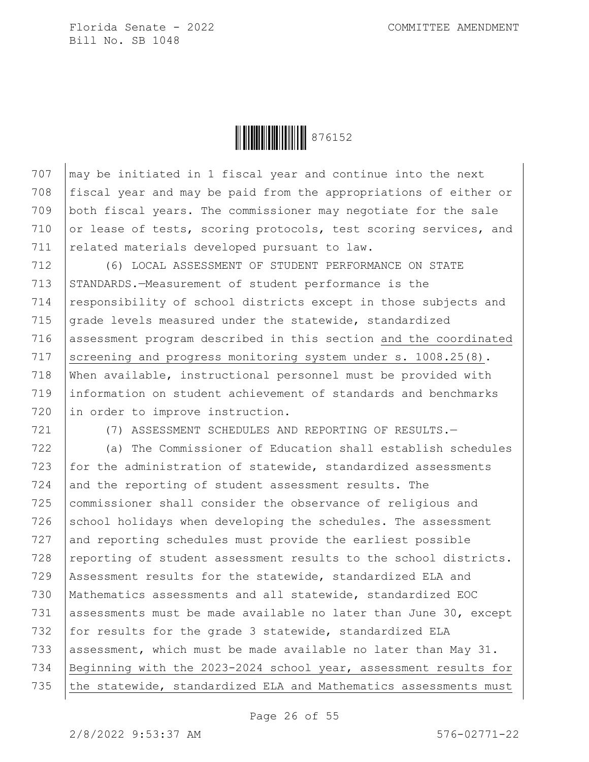

 $707$   $\vert$  may be initiated in 1 fiscal year and continue into the next 708 fiscal year and may be paid from the appropriations of either or 709 both fiscal years. The commissioner may negotiate for the sale 710 or lease of tests, scoring protocols, test scoring services, and 711 | related materials developed pursuant to law.

712 (6) LOCAL ASSESSMENT OF STUDENT PERFORMANCE ON STATE 713 STANDARDS.—Measurement of student performance is the 714 responsibility of school districts except in those subjects and 715 grade levels measured under the statewide, standardized 716 assessment program described in this section and the coordinated 717 Screening and progress monitoring system under s. 1008.25(8). 718 When available, instructional personnel must be provided with 719 information on student achievement of standards and benchmarks 720 in order to improve instruction.

721 (7) ASSESSMENT SCHEDULES AND REPORTING OF RESULTS.—

722 (a) The Commissioner of Education shall establish schedules 723 for the administration of statewide, standardized assessments 724 and the reporting of student assessment results. The 725 commissioner shall consider the observance of religious and  $726$  school holidays when developing the schedules. The assessment 727 and reporting schedules must provide the earliest possible 728  $\vert$  reporting of student assessment results to the school districts. 729 Assessment results for the statewide, standardized ELA and 730 Mathematics assessments and all statewide, standardized EOC 731 assessments must be made available no later than June 30, except 732 for results for the grade 3 statewide, standardized ELA 733 assessment, which must be made available no later than May  $31$ . 734 Beginning with the 2023-2024 school year, assessment results for 735 the statewide, standardized ELA and Mathematics assessments must

Page 26 of 55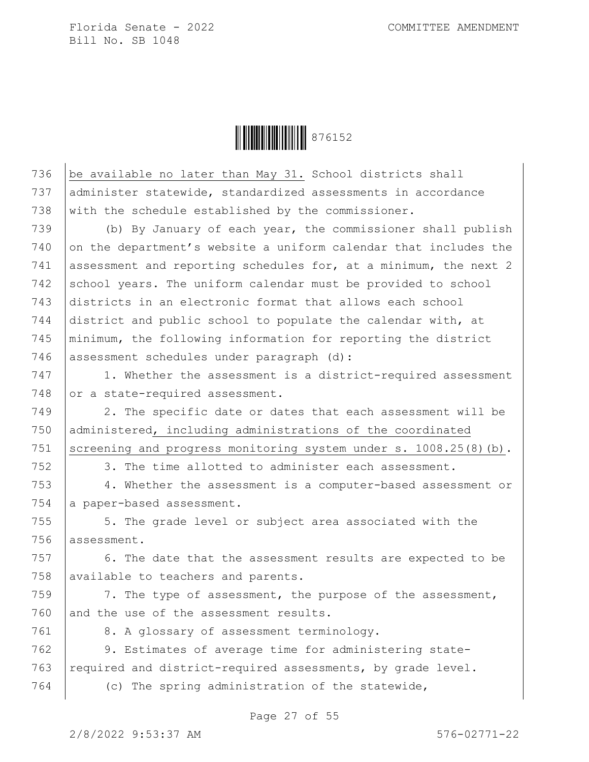

736  $\vert$  be available no later than May 31. School districts shall 737 administer statewide, standardized assessments in accordance 738 with the schedule established by the commissioner. 739 (b) By January of each year, the commissioner shall publish  $740$  on the department's website a uniform calendar that includes the 741 assessment and reporting schedules for, at a minimum, the next 2 742 school years. The uniform calendar must be provided to school 743 districts in an electronic format that allows each school 744 district and public school to populate the calendar with, at 745 minimum, the following information for reporting the district 746 assessment schedules under paragraph (d): 747 1. Whether the assessment is a district-required assessment 748 or a state-required assessment. 749 | 2. The specific date or dates that each assessment will be 750 administered, including administrations of the coordinated

751 Screening and progress monitoring system under s. 1008.25(8)(b).

752 3. The time allotted to administer each assessment.

753 4. Whether the assessment is a computer-based assessment or 754 a paper-based assessment.

755 | 5. The grade level or subject area associated with the 756 assessment.

 $757$   $\vert$  6. The date that the assessment results are expected to be 758 available to teachers and parents.

759  $\vert$  7. The type of assessment, the purpose of the assessment, 760 and the use of the assessment results.

761 | 8. A glossary of assessment terminology.

762 9. Estimates of average time for administering state-763  $r$  required and district-required assessments, by grade level.

764 (c) The spring administration of the statewide,

Page 27 of 55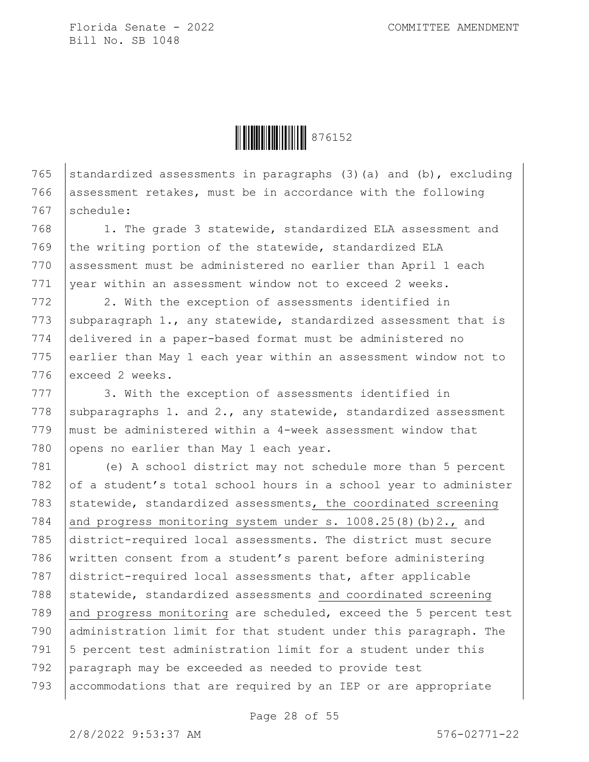

765 standardized assessments in paragraphs (3)(a) and (b), excluding 766 assessment retakes, must be in accordance with the following 767 schedule:

768 1. The grade 3 statewide, standardized ELA assessment and 769 the writing portion of the statewide, standardized ELA 770 assessment must be administered no earlier than April 1 each 771 vear within an assessment window not to exceed 2 weeks.

772 2. With the exception of assessments identified in 773 subparagraph 1., any statewide, standardized assessment that is 774 delivered in a paper-based format must be administered no 775 earlier than May 1 each year within an assessment window not to 776 exceed 2 weeks.

777 3. With the exception of assessments identified in 778 subparagraphs 1. and 2., any statewide, standardized assessment 779  $\mid$  must be administered within a 4-week assessment window that 780 opens no earlier than May 1 each year.

 (e) A school district may not schedule more than 5 percent 782 of a student's total school hours in a school year to administer 783 statewide, standardized assessments, the coordinated screening 784 and progress monitoring system under s.  $1008.25(8)(b)2.$ , and district-required local assessments. The district must secure written consent from a student's parent before administering district-required local assessments that, after applicable 788 statewide, standardized assessments and coordinated screening 789 and progress monitoring are scheduled, exceed the 5 percent test administration limit for that student under this paragraph. The |5 percent test administration limit for a student under this paragraph may be exceeded as needed to provide test accommodations that are required by an IEP or are appropriate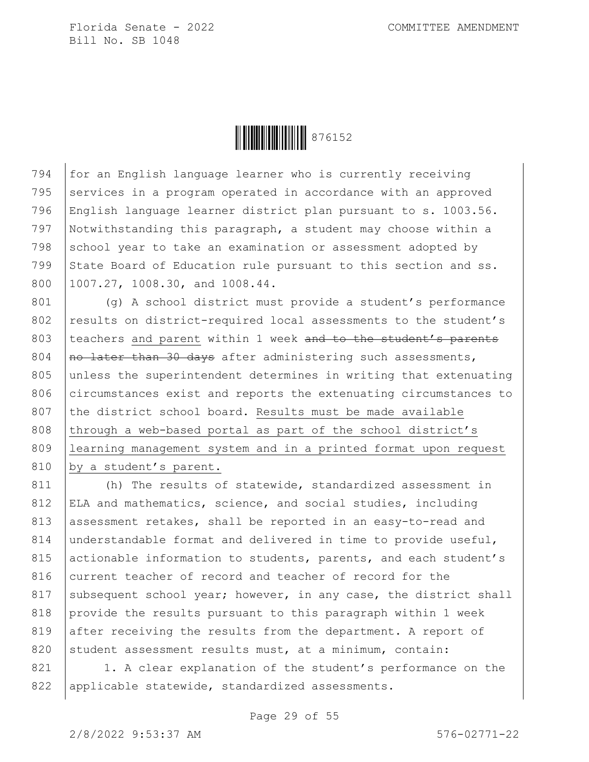

794 for an English language learner who is currently receiving 795 | services in a program operated in accordance with an approved 796 English language learner district plan pursuant to s. 1003.56. 797 Notwithstanding this paragraph, a student may choose within a 798 school year to take an examination or assessment adopted by 799 State Board of Education rule pursuant to this section and ss. 800 1007.27, 1008.30, and 1008.44.

801 (g) A school district must provide a student's performance 802 results on district-required local assessments to the student's 803 teachers and parent within 1 week and to the student's parents 804  $\vert$  no later than 30 days after administering such assessments, 805 unless the superintendent determines in writing that extenuating 806 circumstances exist and reports the extenuating circumstances to 807 the district school board. Results must be made available 808 through a web-based portal as part of the school district's 809 learning management system and in a printed format upon request 810 by a student's parent.

811 (h) The results of statewide, standardized assessment in 812 ELA and mathematics, science, and social studies, including 813 assessment retakes, shall be reported in an easy-to-read and 814 understandable format and delivered in time to provide useful, 815 actionable information to students, parents, and each student's 816 current teacher of record and teacher of record for the 817 subsequent school year; however, in any case, the district shall 818 provide the results pursuant to this paragraph within 1 week 819 after receiving the results from the department. A report of 820 student assessment results must, at a minimum, contain:

821 1. A clear explanation of the student's performance on the 822 | applicable statewide, standardized assessments.

Page 29 of 55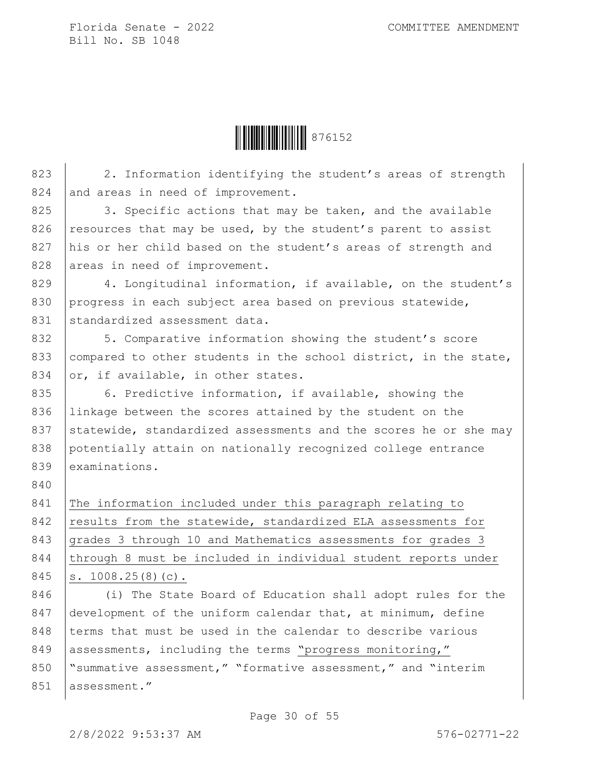**ÖEBEN 1976152** 

823 2. Information identifying the student's areas of strength 824 and areas in need of improvement. 825 3. Specific actions that may be taken, and the available 826 resources that may be used, by the student's parent to assist 827 his or her child based on the student's areas of strength and 828 areas in need of improvement. 829 4. Longitudinal information, if available, on the student's 830 progress in each subject area based on previous statewide, 831 standardized assessment data. 832 5. Comparative information showing the student's score 833 compared to other students in the school district, in the state, 834  $\sigma$ , if available, in other states. 835 6. Predictive information, if available, showing the 836 Iinkage between the scores attained by the student on the 837 statewide, standardized assessments and the scores he or she may 838 potentially attain on nationally recognized college entrance 839 examinations. 840 841 The information included under this paragraph relating to 842 results from the statewide, standardized ELA assessments for 843 grades 3 through 10 and Mathematics assessments for grades 3 844 through 8 must be included in individual student reports under 845 s. 1008.25(8)(c). 846 (i) The State Board of Education shall adopt rules for the

847 development of the uniform calendar that, at minimum, define 848 terms that must be used in the calendar to describe various 849 assessments, including the terms "progress monitoring," 850 Summative assessment," "formative assessment," and "interim 851 assessment."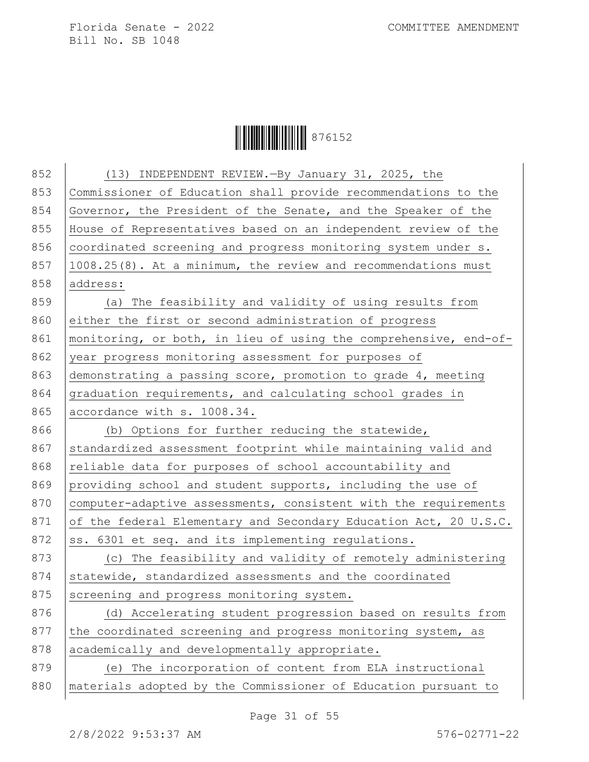**│││││││││││││││** 876152

| 852 | (13) INDEPENDENT REVIEW. - By January 31, 2025, the              |
|-----|------------------------------------------------------------------|
| 853 | Commissioner of Education shall provide recommendations to the   |
| 854 | Governor, the President of the Senate, and the Speaker of the    |
| 855 | House of Representatives based on an independent review of the   |
| 856 | coordinated screening and progress monitoring system under s.    |
| 857 | 1008.25(8). At a minimum, the review and recommendations must    |
| 858 | address:                                                         |
| 859 | (a) The feasibility and validity of using results from           |
| 860 | either the first or second administration of progress            |
| 861 | monitoring, or both, in lieu of using the comprehensive, end-of- |
| 862 | year progress monitoring assessment for purposes of              |
| 863 | demonstrating a passing score, promotion to grade 4, meeting     |
| 864 | graduation requirements, and calculating school grades in        |
| 865 | accordance with s. 1008.34.                                      |
| 866 | (b) Options for further reducing the statewide,                  |
| 867 | standardized assessment footprint while maintaining valid and    |
| 868 | reliable data for purposes of school accountability and          |
| 869 | providing school and student supports, including the use of      |
| 870 | computer-adaptive assessments, consistent with the requirements  |
| 871 | of the federal Elementary and Secondary Education Act, 20 U.S.C. |
| 872 | ss. 6301 et seq. and its implementing regulations.               |
| 873 | (c) The feasibility and validity of remotely administering       |
| 874 | statewide, standardized assessments and the coordinated          |
| 875 | screening and progress monitoring system.                        |
| 876 | (d) Accelerating student progression based on results from       |
| 877 | the coordinated screening and progress monitoring system, as     |
| 878 | academically and developmentally appropriate.                    |
| 879 | (e) The incorporation of content from ELA instructional          |
| 880 | materials adopted by the Commissioner of Education pursuant to   |
|     |                                                                  |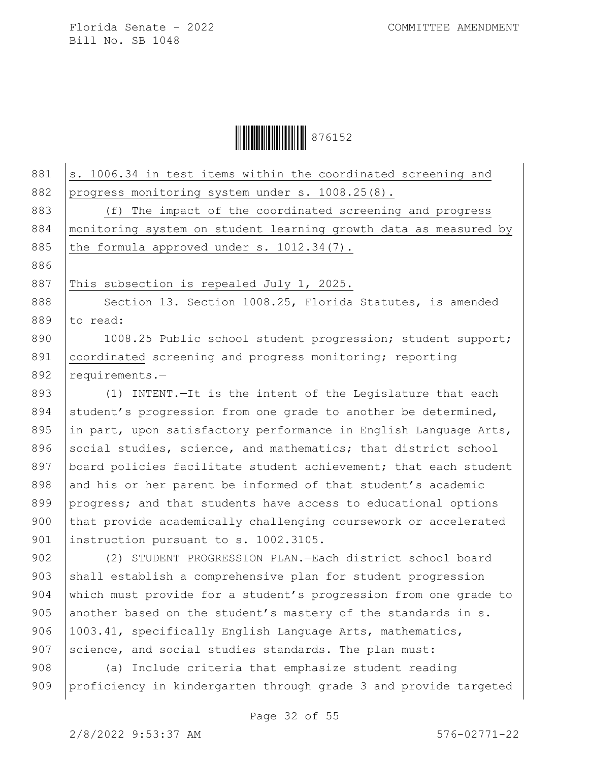

| 881 | s. 1006.34 in test items within the coordinated screening and    |
|-----|------------------------------------------------------------------|
| 882 | progress monitoring system under s. 1008.25(8).                  |
| 883 | (f) The impact of the coordinated screening and progress         |
| 884 | monitoring system on student learning growth data as measured by |
| 885 | the formula approved under s. 1012.34(7).                        |
| 886 |                                                                  |
| 887 | This subsection is repealed July 1, 2025.                        |
| 888 | Section 13. Section 1008.25, Florida Statutes, is amended        |
| 889 | to read:                                                         |
| 890 | 1008.25 Public school student progression; student support;      |
| 891 | coordinated screening and progress monitoring; reporting         |
| 892 | requirements.-                                                   |
| 893 | (1) INTENT. - It is the intent of the Legislature that each      |
| 894 | student's progression from one grade to another be determined,   |
| 895 | in part, upon satisfactory performance in English Language Arts, |
| 896 | social studies, science, and mathematics; that district school   |
| 897 | board policies facilitate student achievement; that each student |
| 898 | and his or her parent be informed of that student's academic     |
| 899 | progress; and that students have access to educational options   |
| 900 | that provide academically challenging coursework or accelerated  |
| 901 | instruction pursuant to s. 1002.3105.                            |
| 902 | (2) STUDENT PROGRESSION PLAN.-Each district school board         |
| 903 | shall establish a comprehensive plan for student progression     |
| 904 | which must provide for a student's progression from one grade to |
| 905 | another based on the student's mastery of the standards in s.    |
| 906 | 1003.41, specifically English Language Arts, mathematics,        |
| 907 | science, and social studies standards. The plan must:            |
| 908 | (a) Include criteria that emphasize student reading              |
| 909 | proficiency in kindergarten through grade 3 and provide targeted |
|     |                                                                  |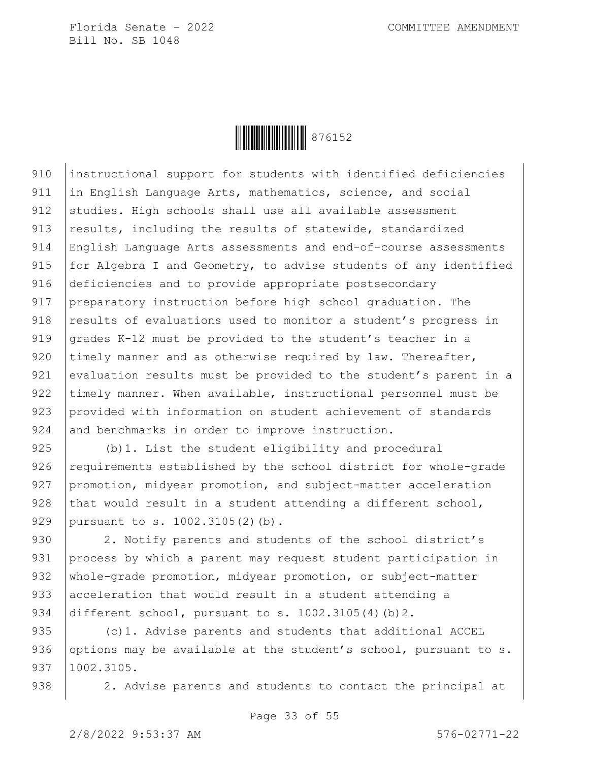

910 instructional support for students with identified deficiencies 911 in English Language Arts, mathematics, science, and social 912 studies. High schools shall use all available assessment 913 results, including the results of statewide, standardized 914 English Language Arts assessments and end-of-course assessments 915  $|$  for Algebra I and Geometry, to advise students of any identified 916 deficiencies and to provide appropriate postsecondary 917 preparatory instruction before high school graduation. The 918 results of evaluations used to monitor a student's progress in 919 grades K-12 must be provided to the student's teacher in a 920  $\vert$  timely manner and as otherwise required by law. Thereafter, 921 evaluation results must be provided to the student's parent in a 922 timely manner. When available, instructional personnel must be 923 provided with information on student achievement of standards 924 and benchmarks in order to improve instruction.

925 (b)1. List the student eligibility and procedural  $926$  requirements established by the school district for whole-grade 927 promotion, midyear promotion, and subject-matter acceleration 928 that would result in a student attending a different school, 929 pursuant to s. 1002.3105(2)(b).

930 | 2. Notify parents and students of the school district's 931 process by which a parent may request student participation in 932 | whole-grade promotion, midyear promotion, or subject-matter 933 acceleration that would result in a student attending a 934 different school, pursuant to s. 1002.3105(4)(b)2.

935 (c)1. Advise parents and students that additional ACCEL 936 options may be available at the student's school, pursuant to  $s$ . 937 1002.3105.

938 | 2. Advise parents and students to contact the principal at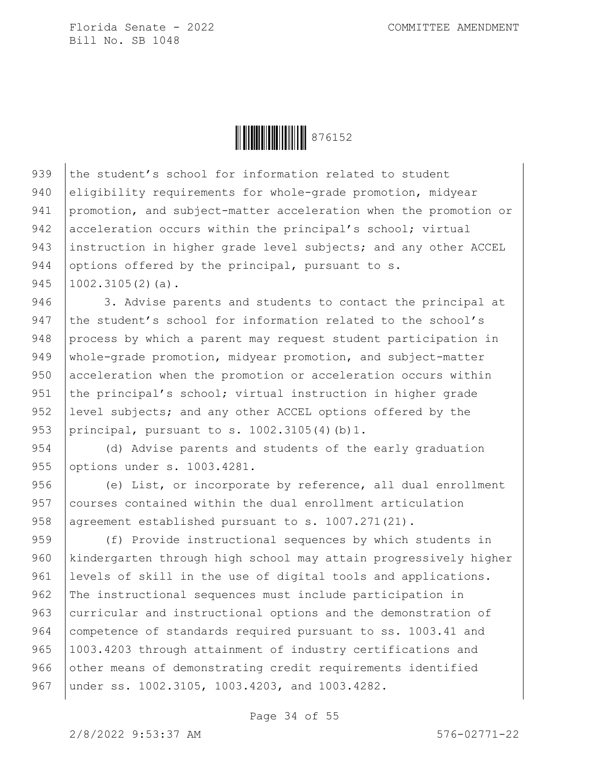**ÖEBEN 1976152** 

939 the student's school for information related to student 940 eligibility requirements for whole-grade promotion, midyear 941 promotion, and subject-matter acceleration when the promotion or 942 acceleration occurs within the principal's school; virtual 943 instruction in higher grade level subjects; and any other ACCEL 944 options offered by the principal, pursuant to s. 945  $1002.3105(2)(a)$ .

946 3. Advise parents and students to contact the principal at 947 the student's school for information related to the school's 948 process by which a parent may request student participation in 949 | whole-grade promotion, midyear promotion, and subject-matter 950 acceleration when the promotion or acceleration occurs within 951 the principal's school; virtual instruction in higher grade 952 level subjects; and any other ACCEL options offered by the 953 principal, pursuant to s. 1002.3105(4)(b)1.

954 (d) Advise parents and students of the early graduation 955 options under s. 1003.4281.

956 (e) List, or incorporate by reference, all dual enrollment 957 courses contained within the dual enrollment articulation 958 agreement established pursuant to s. 1007.271(21).

959 (f) Provide instructional sequences by which students in 960 kindergarten through high school may attain progressively higher 961 | levels of skill in the use of digital tools and applications. 962 The instructional sequences must include participation in 963 curricular and instructional options and the demonstration of 964 competence of standards required pursuant to ss. 1003.41 and 965 | 1003.4203 through attainment of industry certifications and 966 other means of demonstrating credit requirements identified 967 | under ss. 1002.3105, 1003.4203, and 1003.4282.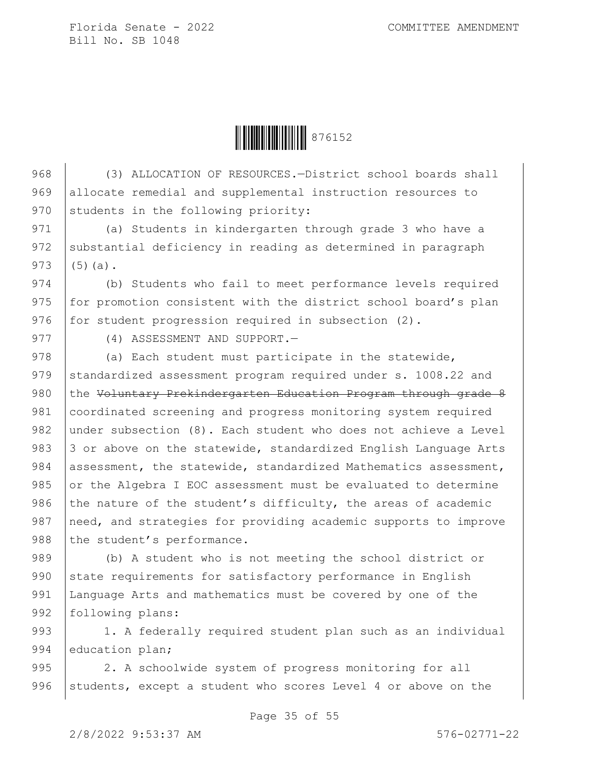**ÖEBEN 1976152** 

968 (3) ALLOCATION OF RESOURCES.—District school boards shall 969 allocate remedial and supplemental instruction resources to 970 students in the following priority:

971 (a) Students in kindergarten through grade 3 who have a 972 substantial deficiency in reading as determined in paragraph  $973$  (5)(a).

974 (b) Students who fail to meet performance levels required 975 for promotion consistent with the district school board's plan 976  $|$  for student progression required in subsection  $(2)$ .

977 (4) ASSESSMENT AND SUPPORT.

978 (a) Each student must participate in the statewide, 979 standardized assessment program required under s. 1008.22 and 980 the Voluntary Prekindergarten Education Program through grade 8 981 coordinated screening and progress monitoring system required 982 under subsection (8). Each student who does not achieve a Level 983  $\vert$  3 or above on the statewide, standardized English Language Arts 984 assessment, the statewide, standardized Mathematics assessment, 985 or the Algebra I EOC assessment must be evaluated to determine 986 the nature of the student's difficulty, the areas of academic 987 | need, and strategies for providing academic supports to improve 988 the student's performance.

989 (b) A student who is not meeting the school district or 990 state requirements for satisfactory performance in English 991 Language Arts and mathematics must be covered by one of the 992 | following plans:

993 | 1. A federally required student plan such as an individual 994 education plan;

995 2. A schoolwide system of progress monitoring for all 996 | students, except a student who scores Level 4 or above on the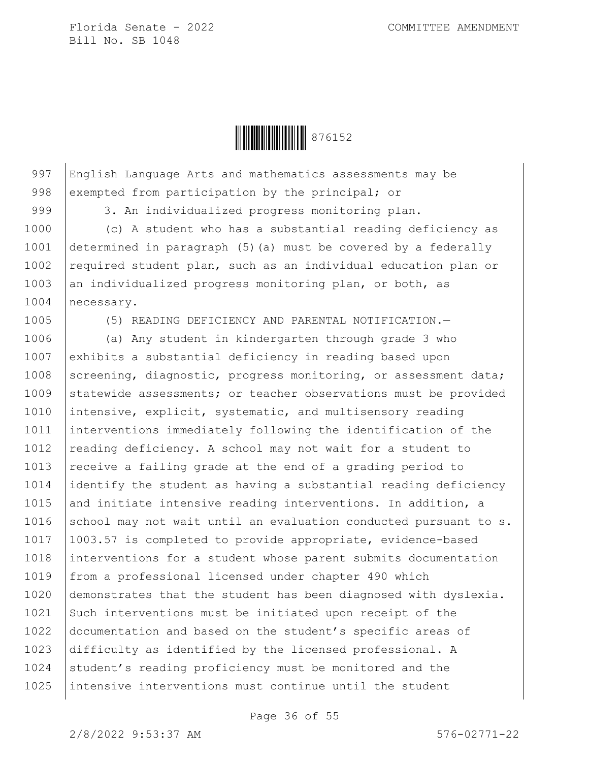

997 English Language Arts and mathematics assessments may be 998 exempted from participation by the principal; or

999 3. An individualized progress monitoring plan.

1000 (c) A student who has a substantial reading deficiency as 1001 determined in paragraph (5)(a) must be covered by a federally 1002 required student plan, such as an individual education plan or 1003 an individualized progress monitoring plan, or both, as 1004 necessary.

1005 (5) READING DEFICIENCY AND PARENTAL NOTIFICATION.—

1006 (a) Any student in kindergarten through grade 3 who 1007 exhibits a substantial deficiency in reading based upon 1008 Screening, diagnostic, progress monitoring, or assessment data; 1009 statewide assessments; or teacher observations must be provided 1010 intensive, explicit, systematic, and multisensory reading 1011 interventions immediately following the identification of the 1012  $\vert$  reading deficiency. A school may not wait for a student to 1013 receive a failing grade at the end of a grading period to 1014 identify the student as having a substantial reading deficiency 1015 and initiate intensive reading interventions. In addition, a 1016 school may not wait until an evaluation conducted pursuant to s. 1017 1003.57 is completed to provide appropriate, evidence-based 1018 interventions for a student whose parent submits documentation 1019 | from a professional licensed under chapter 490 which 1020 demonstrates that the student has been diagnosed with dyslexia. 1021 Such interventions must be initiated upon receipt of the 1022 documentation and based on the student's specific areas of 1023 difficulty as identified by the licensed professional. A 1024 student's reading proficiency must be monitored and the 1025 intensive interventions must continue until the student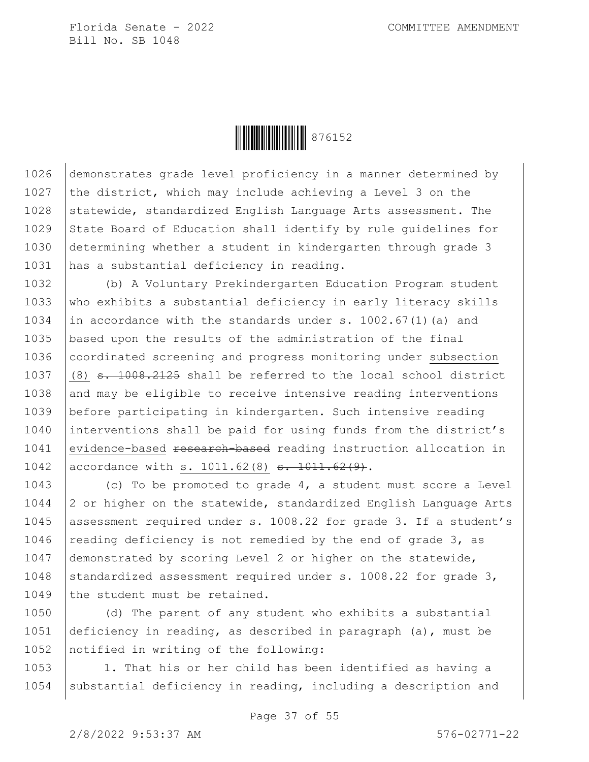

1026 demonstrates grade level proficiency in a manner determined by 1027 the district, which may include achieving a Level 3 on the 1028 Statewide, standardized English Language Arts assessment. The 1029 State Board of Education shall identify by rule quidelines for 1030 determining whether a student in kindergarten through grade 3 1031 has a substantial deficiency in reading.

1032 (b) A Voluntary Prekindergarten Education Program student 1033 who exhibits a substantial deficiency in early literacy skills 1034 in accordance with the standards under s.  $1002.67(1)$  (a) and 1035 based upon the results of the administration of the final 1036 | coordinated screening and progress monitoring under subsection 1037  $(8)$  s. 1008.2125 shall be referred to the local school district  $1038$  and may be eligible to receive intensive reading interventions 1039 before participating in kindergarten. Such intensive reading 1040 interventions shall be paid for using funds from the district's 1041 evidence-based research-based reading instruction allocation in 1042 | accordance with s. 1011.62(8) s. 1011.62(9).

1043 (c) To be promoted to grade 4, a student must score a Level  $1044$  |2 or higher on the statewide, standardized English Language Arts 1045 | assessment required under s. 1008.22 for grade 3. If a student's 1046 reading deficiency is not remedied by the end of grade  $3$ , as 1047 demonstrated by scoring Level 2 or higher on the statewide, 1048 standardized assessment required under s. 1008.22 for grade 3, 1049 the student must be retained.

1050 (d) The parent of any student who exhibits a substantial 1051 deficiency in reading, as described in paragraph (a), must be 1052 notified in writing of the following:

1053 1. That his or her child has been identified as having a 1054 | substantial deficiency in reading, including a description and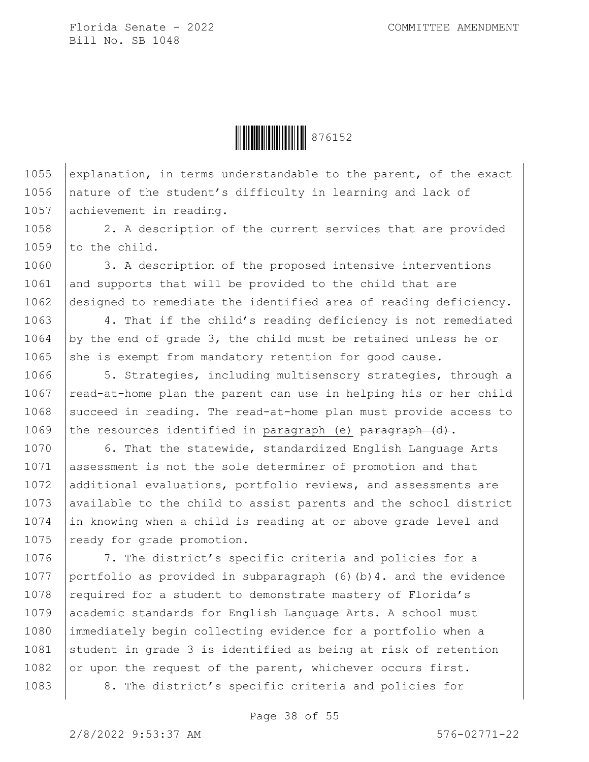

1055 explanation, in terms understandable to the parent, of the exact 1056 | nature of the student's difficulty in learning and lack of 1057 achievement in reading.

1058 2. A description of the current services that are provided 1059 to the child.

1060 | 3. A description of the proposed intensive interventions  $1061$  and supports that will be provided to the child that are 1062 designed to remediate the identified area of reading deficiency.

1063 4. That if the child's reading deficiency is not remediated 1064 by the end of grade 3, the child must be retained unless he or  $1065$  she is exempt from mandatory retention for good cause.

1066 | 5. Strategies, including multisensory strategies, through a 1067  $\vert$  read-at-home plan the parent can use in helping his or her child 1068 succeed in reading. The read-at-home plan must provide access to 1069 the resources identified in paragraph (e)  $\frac{1069}{1000}$  (d).

1070 6. That the statewide, standardized English Language Arts 1071 assessment is not the sole determiner of promotion and that 1072 additional evaluations, portfolio reviews, and assessments are 1073 available to the child to assist parents and the school district 1074 in knowing when a child is reading at or above grade level and 1075 ready for grade promotion.

1076 7. The district's specific criteria and policies for a 1077 portfolio as provided in subparagraph (6)(b)4. and the evidence 1078 required for a student to demonstrate mastery of Florida's 1079 academic standards for English Language Arts. A school must 1080 immediately begin collecting evidence for a portfolio when a 1081 student in grade 3 is identified as being at risk of retention 1082 or upon the request of the parent, whichever occurs first. 1083 | 8. The district's specific criteria and policies for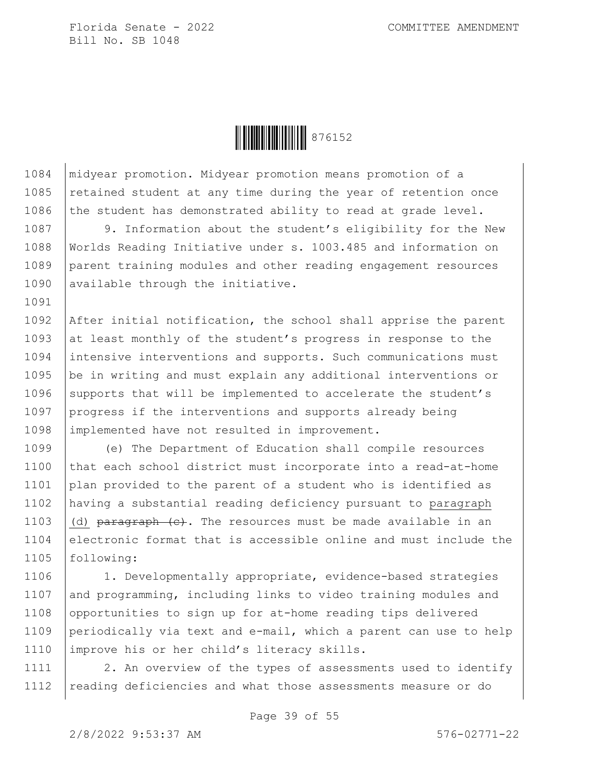1091



1084 midyear promotion. Midyear promotion means promotion of a 1085 retained student at any time during the year of retention once 1086 the student has demonstrated ability to read at grade level.

1087 9. Information about the student's eligibility for the New 1088 Worlds Reading Initiative under s. 1003.485 and information on 1089 parent training modules and other reading engagement resources 1090 available through the initiative.

1092 After initial notification, the school shall apprise the parent 1093 at least monthly of the student's progress in response to the 1094 intensive interventions and supports. Such communications must 1095 be in writing and must explain any additional interventions or 1096 supports that will be implemented to accelerate the student's 1097 progress if the interventions and supports already being 1098 | implemented have not resulted in improvement.

 (e) The Department of Education shall compile resources that each school district must incorporate into a read-at-home plan provided to the parent of a student who is identified as having a substantial reading deficiency pursuant to paragraph 1103 (d)  $\frac{103}{103}$  (d)  $\frac{103}{103}$  (c). The resources must be made available in an 1104 electronic format that is accessible online and must include the following:

1106 | 1. Developmentally appropriate, evidence-based strategies 1107 and programming, including links to video training modules and 1108 opportunities to sign up for at-home reading tips delivered 1109 periodically via text and e-mail, which a parent can use to help 1110 improve his or her child's literacy skills.

1111 | 2. An overview of the types of assessments used to identify 1112 | reading deficiencies and what those assessments measure or do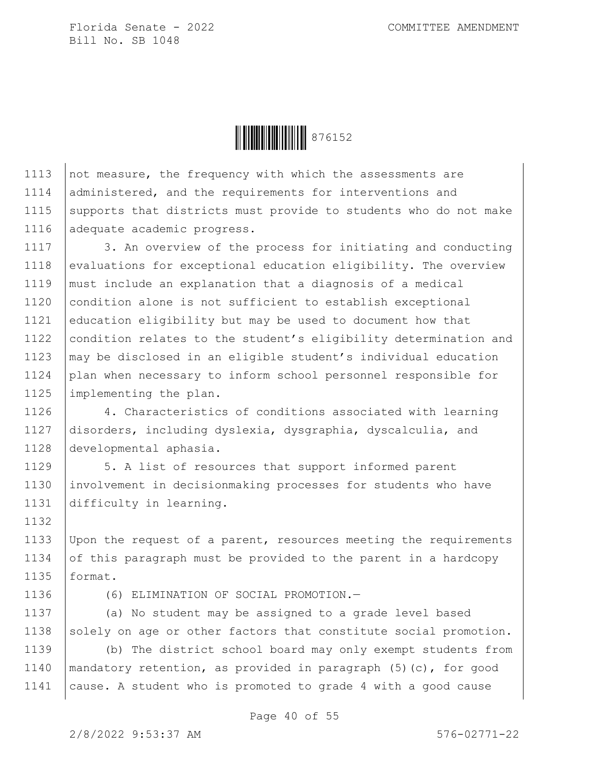

1113 not measure, the frequency with which the assessments are 1114 administered, and the requirements for interventions and 1115 supports that districts must provide to students who do not make 1116 adequate academic progress.

1117 | 3. An overview of the process for initiating and conducting 1118 evaluations for exceptional education eligibility. The overview 1119 must include an explanation that a diagnosis of a medical 1120 condition alone is not sufficient to establish exceptional 1121 education eligibility but may be used to document how that 1122 condition relates to the student's eligibility determination and 1123 may be disclosed in an eligible student's individual education 1124 plan when necessary to inform school personnel responsible for 1125 implementing the plan.

1126 | 4. Characteristics of conditions associated with learning 1127 disorders, including dyslexia, dysgraphia, dyscalculia, and 1128 developmental aphasia.

1129 | 5. A list of resources that support informed parent 1130 involvement in decisionmaking processes for students who have 1131 difficulty in learning.

1133 Upon the request of a parent, resources meeting the requirements 1134 of this paragraph must be provided to the parent in a hardcopy 1135 format.

1136 (6) ELIMINATION OF SOCIAL PROMOTION.—

1137 (a) No student may be assigned to a grade level based 1138 solely on age or other factors that constitute social promotion.

1139 (b) The district school board may only exempt students from 1140 | mandatory retention, as provided in paragraph  $(5)(c)$ , for good 1141 cause. A student who is promoted to grade 4 with a good cause

1132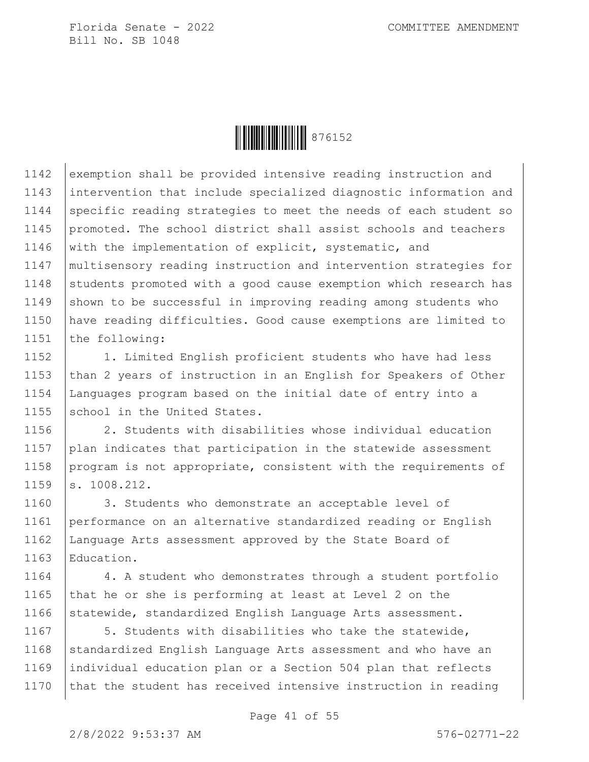

1142 exemption shall be provided intensive reading instruction and 1143 intervention that include specialized diagnostic information and 1144 specific reading strategies to meet the needs of each student so 1145 promoted. The school district shall assist schools and teachers 1146 with the implementation of explicit, systematic, and 1147 multisensory reading instruction and intervention strategies for  $1148$  students promoted with a good cause exemption which research has 1149 Shown to be successful in improving reading among students who 1150 have reading difficulties. Good cause exemptions are limited to 1151 the following:

1152 | 1. Limited English proficient students who have had less 1153 than 2 years of instruction in an English for Speakers of Other 1154 Languages program based on the initial date of entry into a 1155 school in the United States.

1156 2. Students with disabilities whose individual education 1157 plan indicates that participation in the statewide assessment 1158 program is not appropriate, consistent with the requirements of 1159 s. 1008.212.

1160 3. Students who demonstrate an acceptable level of performance on an alternative standardized reading or English Language Arts assessment approved by the State Board of Education.

1164 4. A student who demonstrates through a student portfolio 1165  $\vert$  that he or she is performing at least at Level 2 on the 1166 statewide, standardized English Language Arts assessment.

1167 | 5. Students with disabilities who take the statewide, 1168 standardized English Language Arts assessment and who have an 1169 individual education plan or a Section 504 plan that reflects 1170 that the student has received intensive instruction in reading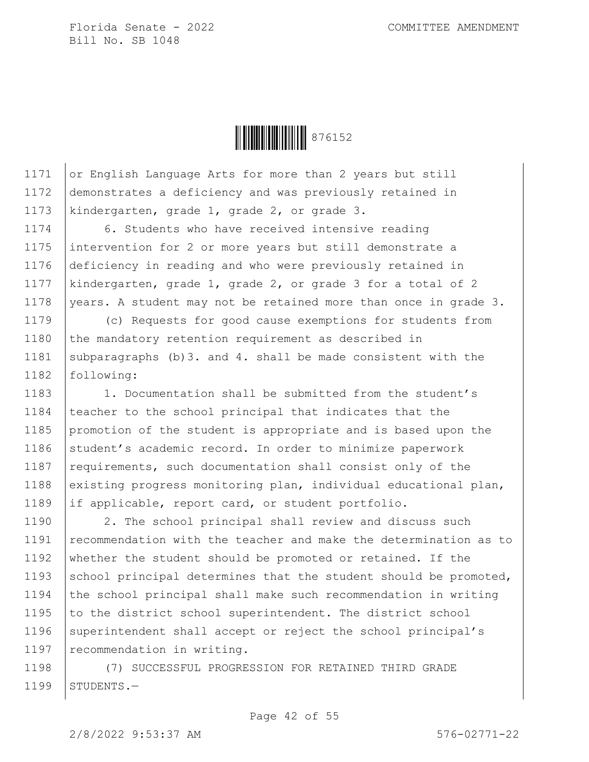

1171 or English Language Arts for more than 2 years but still 1172 demonstrates a deficiency and was previously retained in 1173 | kindergarten, grade 1, grade 2, or grade 3.

1174 6. Students who have received intensive reading 1175 intervention for 2 or more years but still demonstrate a 1176 deficiency in reading and who were previously retained in 1177 kindergarten, grade 1, grade 2, or grade 3 for a total of 2 1178 | years. A student may not be retained more than once in grade  $3$ .

1179 (c) Requests for good cause exemptions for students from 1180 the mandatory retention requirement as described in 1181 | subparagraphs  $(b)$  3. and 4. shall be made consistent with the 1182 following:

1183 1. Documentation shall be submitted from the student's 1184 teacher to the school principal that indicates that the 1185 promotion of the student is appropriate and is based upon the 1186 student's academic record. In order to minimize paperwork 1187  $\vert$  requirements, such documentation shall consist only of the 1188 existing progress monitoring plan, individual educational plan, 1189 if applicable, report card, or student portfolio.

1190 | 2. The school principal shall review and discuss such 1191 recommendation with the teacher and make the determination as to 1192 whether the student should be promoted or retained. If the 1193 School principal determines that the student should be promoted, 1194 the school principal shall make such recommendation in writing 1195 to the district school superintendent. The district school 1196 superintendent shall accept or reject the school principal's 1197 | recommendation in writing.

1198 (7) SUCCESSFUL PROGRESSION FOR RETAINED THIRD GRADE  $1199$  STUDENTS. -

2/8/2022 9:53:37 AM 576-02771-22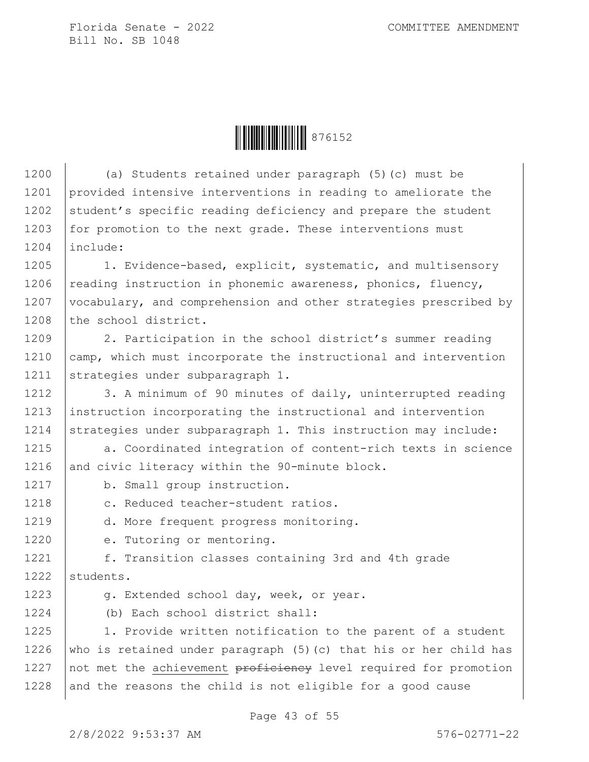**ÖEBEN 1976152** 

1200 (a) Students retained under paragraph (5)(c) must be 1201 provided intensive interventions in reading to ameliorate the 1202 student's specific reading deficiency and prepare the student 1203 for promotion to the next grade. These interventions must 1204 include: 1205 | 1. Evidence-based, explicit, systematic, and multisensory 1206 reading instruction in phonemic awareness, phonics, fluency, 1207 | vocabulary, and comprehension and other strategies prescribed by 1208 the school district. 1209 | 2. Participation in the school district's summer reading 1210 camp, which must incorporate the instructional and intervention 1211 strategies under subparagraph 1. 1212 | 3. A minimum of 90 minutes of daily, uninterrupted reading 1213 instruction incorporating the instructional and intervention 1214 Strategies under subparagraph 1. This instruction may include: 1215 a. Coordinated integration of content-rich texts in science 1216 and civic literacy within the 90-minute block. 1217 b. Small group instruction. 1218 | c. Reduced teacher-student ratios. 1219 | d. More frequent progress monitoring. 1220 e. Tutoring or mentoring. 1221 f. Transition classes containing 3rd and 4th grade 1222 students. 1223 g. Extended school day, week, or year. 1224 (b) Each school district shall: 1225 1. Provide written notification to the parent of a student 1226 who is retained under paragraph  $(5)$  (c) that his or her child has 1227  $\vert$  not met the achievement proficiency level required for promotion  $1228$  and the reasons the child is not eligible for a good cause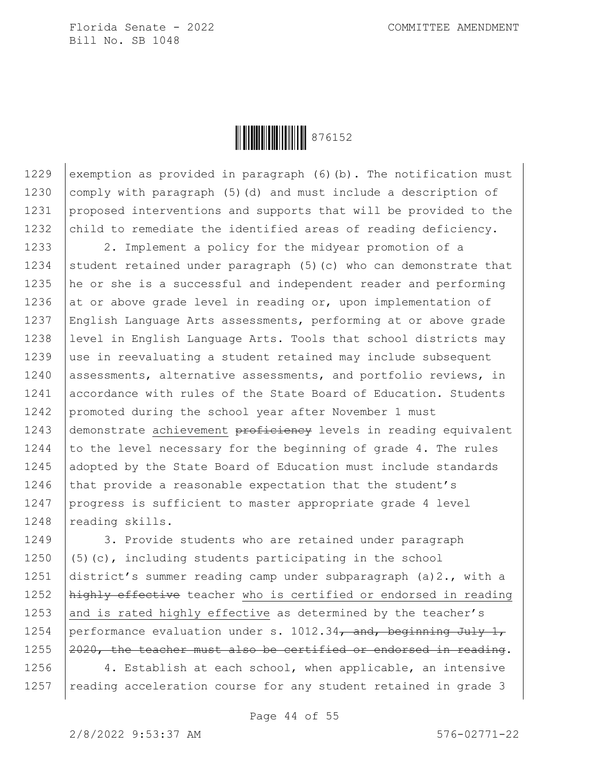

1229 exemption as provided in paragraph  $(6)$  (b). The notification must 1230 | comply with paragraph (5)(d) and must include a description of 1231 proposed interventions and supports that will be provided to the 1232 child to remediate the identified areas of reading deficiency.

1233 | 2. Implement a policy for the midyear promotion of a 1234 student retained under paragraph  $(5)$  (c) who can demonstrate that 1235 he or she is a successful and independent reader and performing 1236 at or above grade level in reading or, upon implementation of 1237 English Language Arts assessments, performing at or above grade 1238 level in English Language Arts. Tools that school districts may 1239 use in reevaluating a student retained may include subsequent 1240 assessments, alternative assessments, and portfolio reviews, in 1241 accordance with rules of the State Board of Education. Students 1242 promoted during the school year after November 1 must 1243 demonstrate achievement proficiency levels in reading equivalent 1244 to the level necessary for the beginning of grade 4. The rules 1245 adopted by the State Board of Education must include standards 1246 that provide a reasonable expectation that the student's 1247 progress is sufficient to master appropriate grade 4 level 1248 reading skills.

1249 3. Provide students who are retained under paragraph 1250  $(5)(c)$ , including students participating in the school 1251 district's summer reading camp under subparagraph (a)2., with a 1252 | highly effective teacher who is certified or endorsed in reading 1253 and is rated highly effective as determined by the teacher's 1254 | performance evaluation under s. 1012.34, and, beginning July 1, 1255  $\sqrt{2020}$ , the teacher must also be certified or endorsed in reading.

1256  $\vert$  4. Establish at each school, when applicable, an intensive 1257 | reading acceleration course for any student retained in grade 3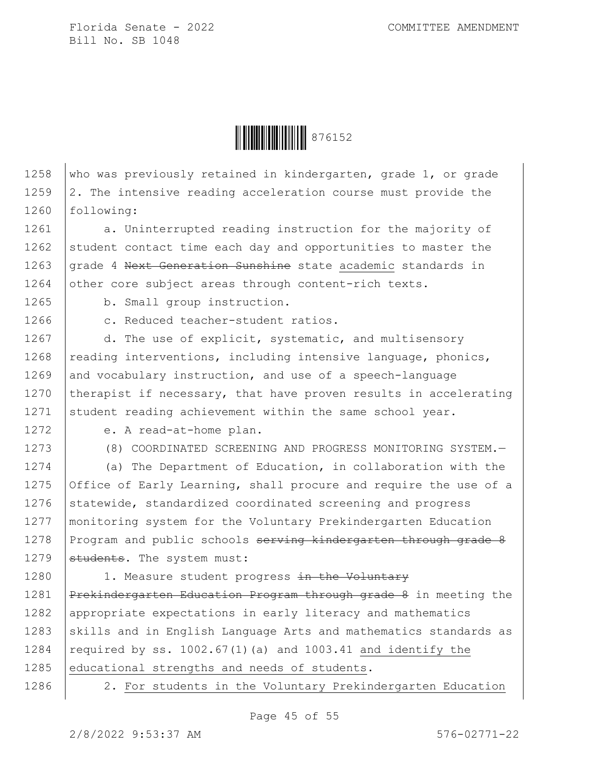

1258 who was previously retained in kindergarten, grade 1, or grade 1259  $\vert$  2. The intensive reading acceleration course must provide the 1260 | following:

1261 a. Uninterrupted reading instruction for the majority of 1262 student contact time each day and opportunities to master the 1263 grade 4 Next Generation Sunshine state academic standards in 1264 other core subject areas through content-rich texts.

1265 b. Small group instruction.

1266 c. Reduced teacher-student ratios.

1267 d. The use of explicit, systematic, and multisensory 1268  $\vert$  reading interventions, including intensive language, phonics, 1269 and vocabulary instruction, and use of a speech-language 1270 therapist if necessary, that have proven results in accelerating 1271 student reading achievement within the same school year.

1272 e. A read-at-home plan.

1273 (8) COORDINATED SCREENING AND PROGRESS MONITORING SYSTEM.

1274 (a) The Department of Education, in collaboration with the 1275 Office of Early Learning, shall procure and require the use of a 1276 statewide, standardized coordinated screening and progress 1277 monitoring system for the Voluntary Prekindergarten Education 1278 Program and public schools serving kindergarten through grade 8 1279  $\sqrt{\frac{1}{1279}}$  students. The system must:

1280 | 1. Measure student progress in the Voluntary 1281 Prekindergarten Education Program through grade 8 in meeting the 1282 | appropriate expectations in early literacy and mathematics 1283  $\vert$ skills and in English Language Arts and mathematics standards as 1284 required by ss. 1002.67(1)(a) and 1003.41 and identify the 1285 educational strengths and needs of students.

1286 | 2. For students in the Voluntary Prekindergarten Education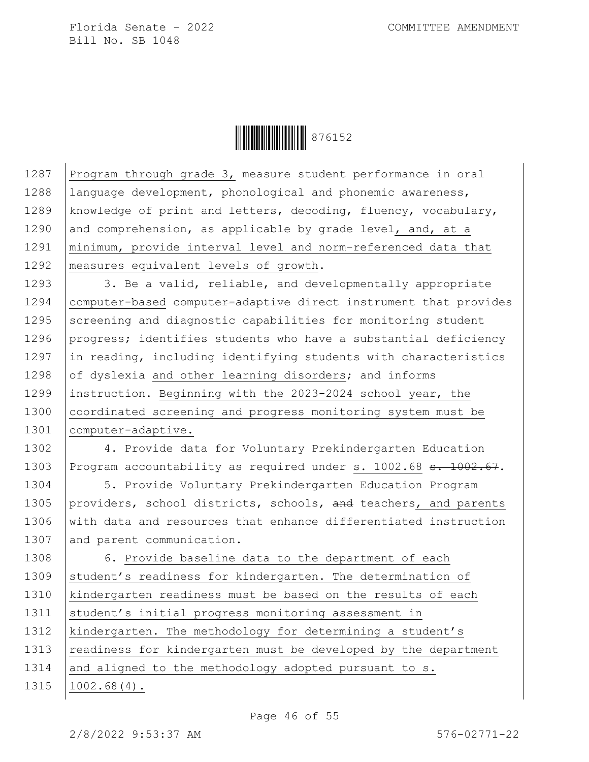**ÖEBEN 1976152** 

1287 Program through grade  $3$ , measure student performance in oral 1288 | language development, phonological and phonemic awareness, 1289 | knowledge of print and letters, decoding, fluency, vocabulary, 1290 and comprehension, as applicable by grade level, and, at a 1291 minimum, provide interval level and norm-referenced data that 1292 | measures equivalent levels of growth. 1293  $\vert$  3. Be a valid, reliable, and developmentally appropriate 1294 | computer-based computer-adaptive direct instrument that provides 1295 Screening and diagnostic capabilities for monitoring student 1296 progress; identifies students who have a substantial deficiency 1297  $\vert$  in reading, including identifying students with characteristics 1298  $\vert$  of dyslexia and other learning disorders; and informs 1299 instruction. Beginning with the 2023-2024 school year, the 1300 coordinated screening and progress monitoring system must be 1301 | computer-adaptive. 1302 4. Provide data for Voluntary Prekindergarten Education 1303 Program accountability as required under s. 1002.68 s. 1002.67. 1304 5. Provide Voluntary Prekindergarten Education Program 1305 providers, school districts, schools,  $\overline{and}$  teachers, and parents 1306 with data and resources that enhance differentiated instruction 1307 and parent communication. 1308 | 6. Provide baseline data to the department of each 1309 student's readiness for kindergarten. The determination of 1310 kindergarten readiness must be based on the results of each 1311 | student's initial progress monitoring assessment in 1312 | kindergarten. The methodology for determining a student's 1313 | readiness for kindergarten must be developed by the department 1314 and aligned to the methodology adopted pursuant to  $s$ . 1315 1002.68(4).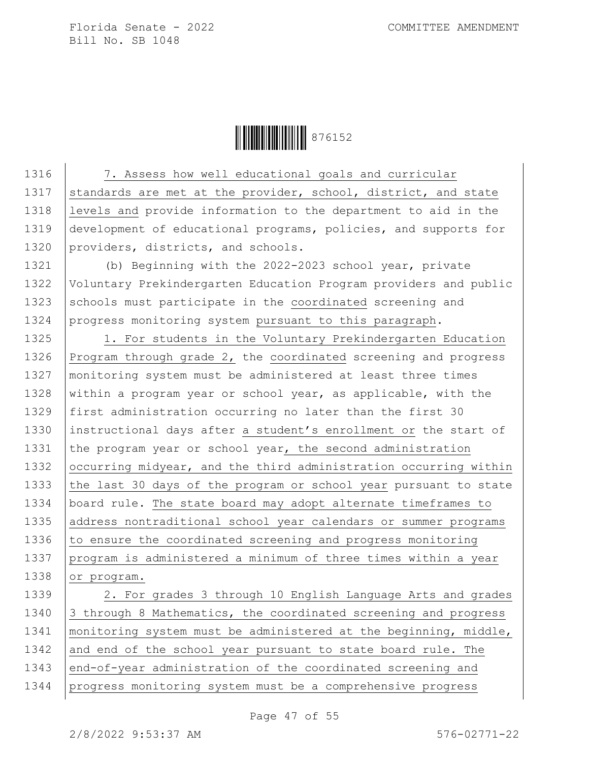

1316 | 7. Assess how well educational goals and curricular 1317 standards are met at the provider, school, district, and state 1318 levels and provide information to the department to aid in the 1319 development of educational programs, policies, and supports for 1320 providers, districts, and schools. 1321 (b) Beginning with the 2022-2023 school year, private 1322 Voluntary Prekindergarten Education Program providers and public 1323 schools must participate in the coordinated screening and 1324 progress monitoring system pursuant to this paragraph. 1325 | 1. For students in the Voluntary Prekindergarten Education 1326 Program through grade 2, the coordinated screening and progress 1327 | monitoring system must be administered at least three times 1328 within a program year or school year, as applicable, with the 1329 first administration occurring no later than the first 30 1330 instructional days after a student's enrollment or the start of 1331 the program year or school year, the second administration 1332 occurring midyear, and the third administration occurring within 1333 the last 30 days of the program or school year pursuant to state 1334 | board rule. The state board may adopt alternate timeframes to 1335 address nontraditional school year calendars or summer programs 1336  $\vert$  to ensure the coordinated screening and progress monitoring 1337 program is administered a minimum of three times within a year 1338 or program. 1339 | 2. For grades 3 through 10 English Language Arts and grades 1340 3 through 8 Mathematics, the coordinated screening and progress 1341 | monitoring system must be administered at the beginning, middle, 1342 and end of the school year pursuant to state board rule. The 1343 end-of-year administration of the coordinated screening and 1344 progress monitoring system must be a comprehensive progress

Page 47 of 55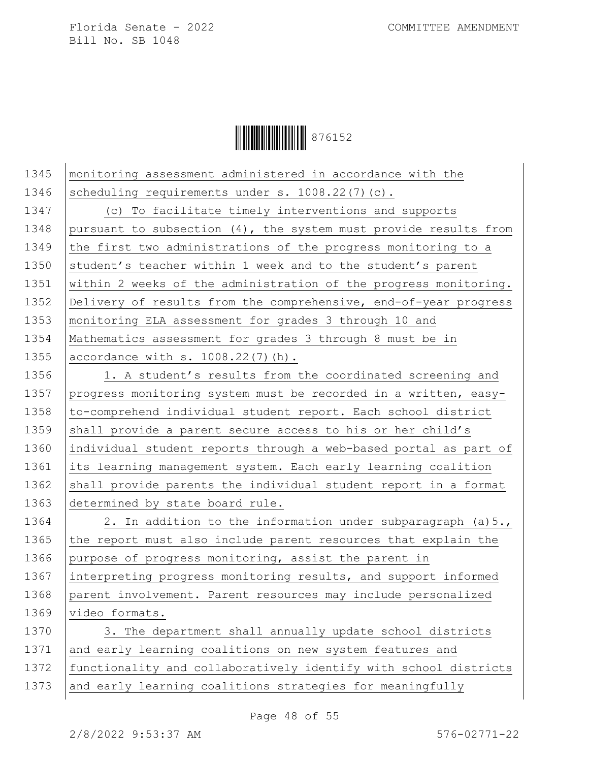**│││││││││││││││** 876152

| 1345 | monitoring assessment administered in accordance with the        |
|------|------------------------------------------------------------------|
| 1346 | scheduling requirements under s. 1008.22(7)(c).                  |
| 1347 | (c) To facilitate timely interventions and supports              |
| 1348 | pursuant to subsection (4), the system must provide results from |
| 1349 | the first two administrations of the progress monitoring to a    |
| 1350 | student's teacher within 1 week and to the student's parent      |
| 1351 | within 2 weeks of the administration of the progress monitoring. |
| 1352 | Delivery of results from the comprehensive, end-of-year progress |
| 1353 | monitoring ELA assessment for grades 3 through 10 and            |
| 1354 | Mathematics assessment for grades 3 through 8 must be in         |
| 1355 | accordance with $s. 1008.22(7)$ (h).                             |
| 1356 | 1. A student's results from the coordinated screening and        |
| 1357 | progress monitoring system must be recorded in a written, easy-  |
| 1358 | to-comprehend individual student report. Each school district    |
| 1359 | shall provide a parent secure access to his or her child's       |
| 1360 | individual student reports through a web-based portal as part of |
| 1361 | its learning management system. Each early learning coalition    |
| 1362 | shall provide parents the individual student report in a format  |
| 1363 | determined by state board rule.                                  |
| 1364 | 2. In addition to the information under subparagraph (a) 5.,     |
| 1365 | the report must also include parent resources that explain the   |
| 1366 | purpose of progress monitoring, assist the parent in             |
| 1367 | interpreting progress monitoring results, and support informed   |
| 1368 | parent involvement. Parent resources may include personalized    |
| 1369 | video formats.                                                   |
| 1370 | 3. The department shall annually update school districts         |
| 1371 | and early learning coalitions on new system features and         |
| 1372 | functionality and collaboratively identify with school districts |
| 1373 | and early learning coalitions strategies for meaningfully        |
|      |                                                                  |

Page 48 of 55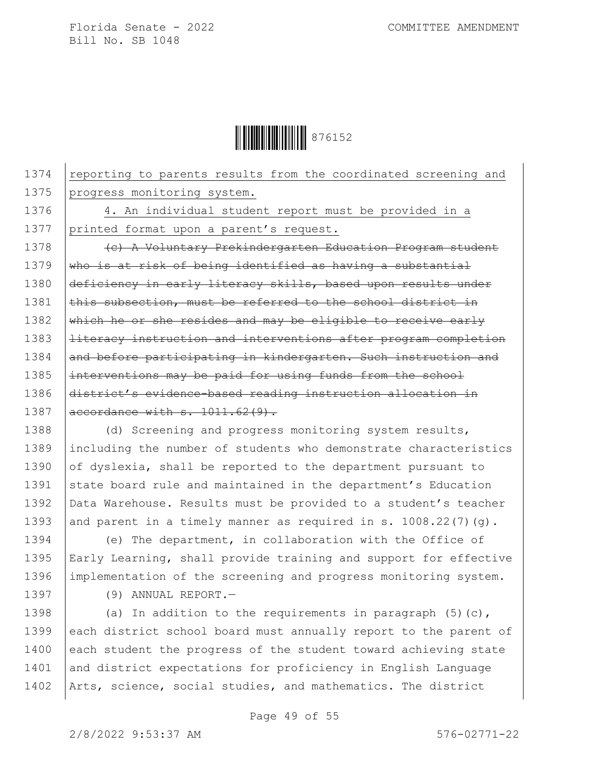

1374 reporting to parents results from the coordinated screening and 1375 progress monitoring system.

1376 4. An individual student report must be provided in a 1377 printed format upon a parent's request.

1378 (c) A Voluntary Prekindergarten Education Program student 1379  $\frac{1}{2}$  who is at risk of being identified as having a substantial 1380 deficiency in early literacy skills, based upon results under  $1381$  this subsection, must be referred to the school district in 1382  $\frac{1382}{1382}$  which he or she resides and may be eligible to receive early 1383 | literacy instruction and interventions after program completion 1384 and before participating in kindergarten. Such instruction and 1385 | interventions may be paid for using funds from the school 1386 district's evidence-based reading instruction allocation in 1387  $| \text{aecordance with } s. 1011.62(9)$ .

1388 (d) Screening and progress monitoring system results, 1389 including the number of students who demonstrate characteristics 1390 of dyslexia, shall be reported to the department pursuant to 1391 state board rule and maintained in the department's Education 1392 | Data Warehouse. Results must be provided to a student's teacher 1393 and parent in a timely manner as required in s.  $1008.22(7)(g)$ .

1394 (e) The department, in collaboration with the Office of 1395 Early Learning, shall provide training and support for effective 1396 | implementation of the screening and progress monitoring system.

1397 (9) ANNUAL REPORT.—

1398 (a) In addition to the requirements in paragraph  $(5)(c)$ , 1399 each district school board must annually report to the parent of 1400 each student the progress of the student toward achieving state 1401 and district expectations for proficiency in English Language 1402 | Arts, science, social studies, and mathematics. The district

2/8/2022 9:53:37 AM 576-02771-22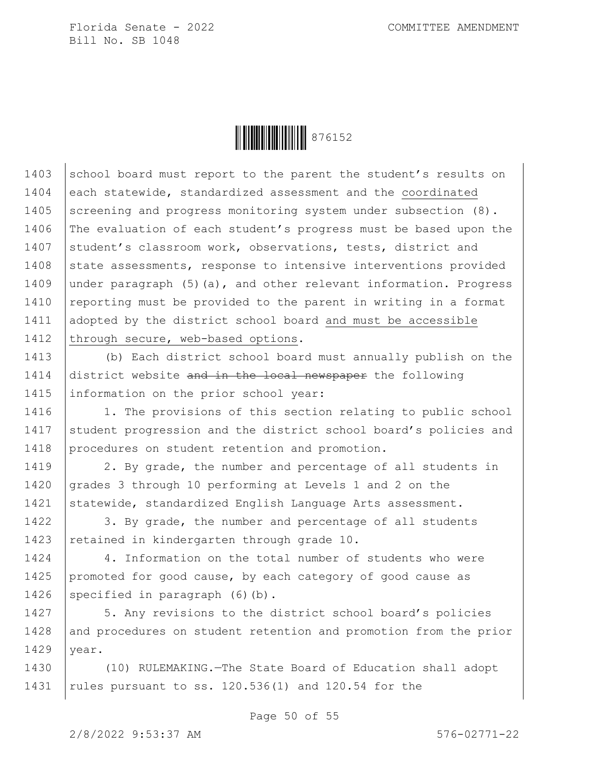

1403 school board must report to the parent the student's results on 1404 each statewide, standardized assessment and the coordinated 1405 Screening and progress monitoring system under subsection (8). 1406 The evaluation of each student's progress must be based upon the 1407 student's classroom work, observations, tests, district and 1408 state assessments, response to intensive interventions provided 1409 under paragraph (5)(a), and other relevant information. Progress 1410 | reporting must be provided to the parent in writing in a format 1411 adopted by the district school board and must be accessible 1412 through secure, web-based options.

1413 (b) Each district school board must annually publish on the 1414 district website and in the local newspaper the following 1415 information on the prior school year:

1416 | 1. The provisions of this section relating to public school 1417 Student progression and the district school board's policies and 1418 procedures on student retention and promotion.

1419 | 2. By grade, the number and percentage of all students in 1420 grades 3 through 10 performing at Levels 1 and 2 on the 1421 Statewide, standardized English Language Arts assessment.

1422 | 3. By grade, the number and percentage of all students 1423 retained in kindergarten through grade 10.

1424 4. Information on the total number of students who were 1425 promoted for good cause, by each category of good cause as 1426 specified in paragraph  $(6)(b)$ .

1427 | 5. Any revisions to the district school board's policies 1428 and procedures on student retention and promotion from the prior  $1429$  year.

1430 (10) RULEMAKING.—The State Board of Education shall adopt 1431 rules pursuant to ss. 120.536(1) and 120.54 for the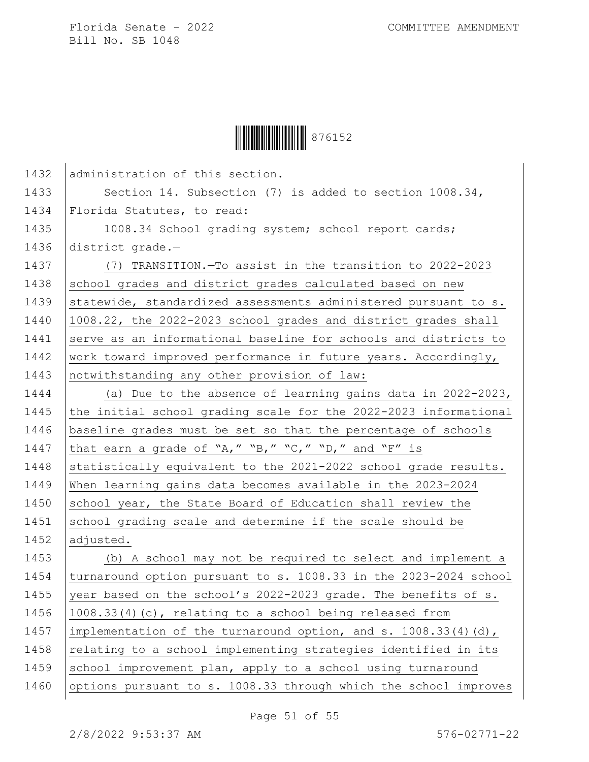

| 1432 | administration of this section.                                  |
|------|------------------------------------------------------------------|
| 1433 | Section 14. Subsection $(7)$ is added to section $1008.34$ ,     |
| 1434 | Florida Statutes, to read:                                       |
| 1435 | 1008.34 School grading system; school report cards;              |
| 1436 | district grade.-                                                 |
| 1437 | (7) TRANSITION. - To assist in the transition to 2022-2023       |
| 1438 | school grades and district grades calculated based on new        |
| 1439 | statewide, standardized assessments administered pursuant to s.  |
| 1440 | 1008.22, the 2022-2023 school grades and district grades shall   |
| 1441 | serve as an informational baseline for schools and districts to  |
| 1442 | work toward improved performance in future years. Accordingly,   |
| 1443 | notwithstanding any other provision of law:                      |
| 1444 | (a) Due to the absence of learning gains data in 2022-2023,      |
| 1445 | the initial school grading scale for the 2022-2023 informational |
| 1446 | baseline grades must be set so that the percentage of schools    |
| 1447 | that earn a grade of "A," "B," "C," "D," and "F" is              |
| 1448 | statistically equivalent to the 2021-2022 school grade results.  |
| 1449 | When learning gains data becomes available in the 2023-2024      |
| 1450 | school year, the State Board of Education shall review the       |
| 1451 | school grading scale and determine if the scale should be        |
| 1452 | adjusted.                                                        |
| 1453 | (b) A school may not be required to select and implement a       |
| 1454 | turnaround option pursuant to s. 1008.33 in the 2023-2024 school |
| 1455 | year based on the school's 2022-2023 grade. The benefits of s.   |
| 1456 | 1008.33(4)(c), relating to a school being released from          |
| 1457 | implementation of the turnaround option, and s. 1008.33(4)(d),   |
| 1458 | relating to a school implementing strategies identified in its   |
| 1459 | school improvement plan, apply to a school using turnaround      |
| 1460 | options pursuant to s. 1008.33 through which the school improves |
|      |                                                                  |

Page 51 of 55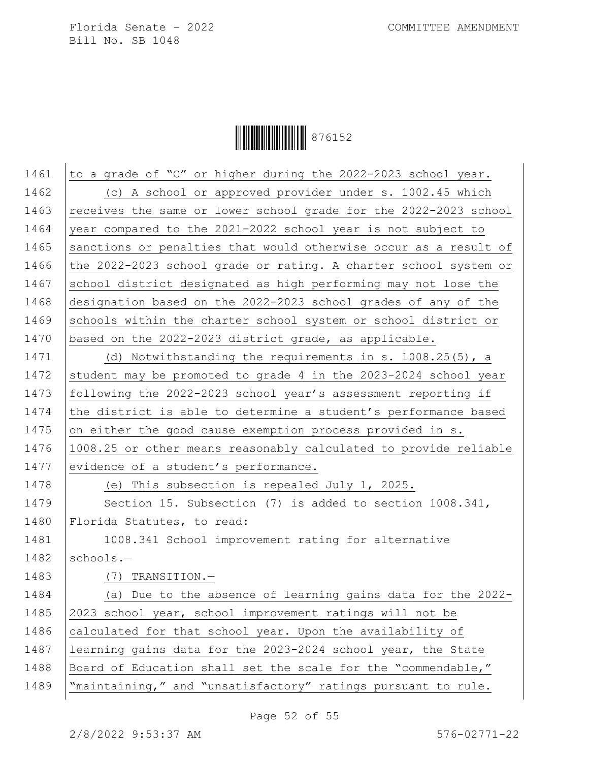**ÖEBEN 1976152** 

1461  $\vert$  to a grade of "C" or higher during the 2022-2023 school year. 1462 (c) A school or approved provider under s. 1002.45 which 1463 | receives the same or lower school grade for the  $2022$ -2023 school 1464 vear compared to the 2021-2022 school year is not subject to 1465 Sanctions or penalties that would otherwise occur as a result of 1466 the 2022-2023 school grade or rating. A charter school system or 1467 school district designated as high performing may not lose the 1468 designation based on the 2022-2023 school grades of any of the 1469 Schools within the charter school system or school district or 1470 based on the 2022-2023 district grade, as applicable. 1471 | (d) Notwithstanding the requirements in s. 1008.25(5), a

1472 student may be promoted to grade 4 in the 2023-2024 school year 1473 following the 2022-2023 school year's assessment reporting if 1474 the district is able to determine a student's performance based 1475 on either the good cause exemption process provided in  $s$ . 1476 1008.25 or other means reasonably calculated to provide reliable 1477 evidence of a student's performance. 1478 (e) This subsection is repealed July 1, 2025. 1479 Section 15. Subsection (7) is added to section 1008.341, 1480 | Florida Statutes, to read: 1481 | 1008.341 School improvement rating for alternative  $1482$  schools. -

## 1483 (7) TRANSITION.—

1484 (a) Due to the absence of learning gains data for the 2022- 1485 2023 school year, school improvement ratings will not be 1486 calculated for that school year. Upon the availability of 1487 learning gains data for the 2023-2024 school year, the State 1488 | Board of Education shall set the scale for the "commendable," 1489 | "maintaining," and "unsatisfactory" ratings pursuant to rule.

Page 52 of 55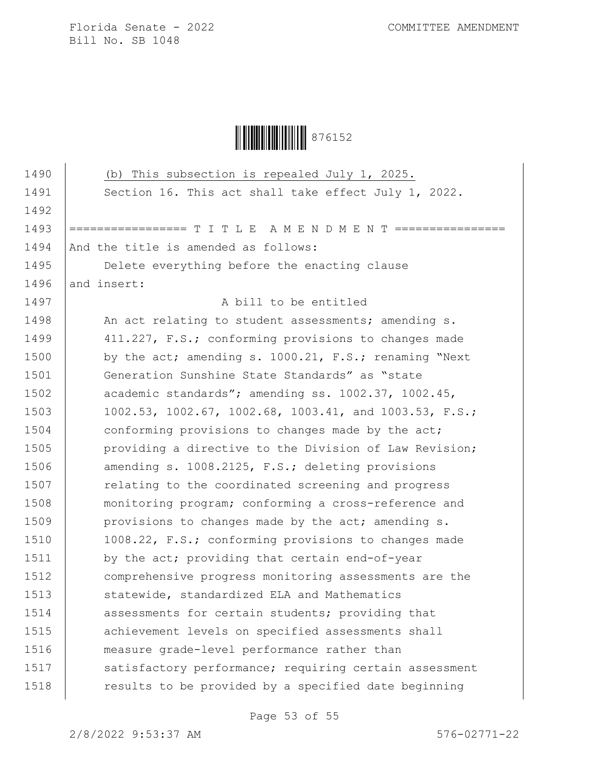

| 1490 | (b) This subsection is repealed July 1, 2025.          |
|------|--------------------------------------------------------|
| 1491 | Section 16. This act shall take effect July 1, 2022.   |
| 1492 |                                                        |
| 1493 | ============= T I T L E A M E N D M E N T              |
| 1494 | And the title is amended as follows:                   |
| 1495 | Delete everything before the enacting clause           |
| 1496 | and insert:                                            |
| 1497 | A bill to be entitled                                  |
| 1498 | An act relating to student assessments; amending s.    |
| 1499 | 411.227, F.S.; conforming provisions to changes made   |
| 1500 | by the act; amending s. 1000.21, F.S.; renaming "Next  |
| 1501 | Generation Sunshine State Standards" as "state         |
| 1502 | academic standards"; amending ss. 1002.37, 1002.45,    |
| 1503 | 1002.53, 1002.67, 1002.68, 1003.41, and 1003.53, F.S.; |
| 1504 | conforming provisions to changes made by the act;      |
| 1505 | providing a directive to the Division of Law Revision; |
| 1506 | amending s. 1008.2125, F.S.; deleting provisions       |
| 1507 | relating to the coordinated screening and progress     |
| 1508 | monitoring program; conforming a cross-reference and   |
| 1509 | provisions to changes made by the act; amending s.     |
| 1510 | 1008.22, F.S.; conforming provisions to changes made   |
| 1511 | by the act; providing that certain end-of-year         |
| 1512 | comprehensive progress monitoring assessments are the  |
| 1513 | statewide, standardized ELA and Mathematics            |
| 1514 | assessments for certain students; providing that       |
| 1515 | achievement levels on specified assessments shall      |
| 1516 | measure grade-level performance rather than            |
| 1517 | satisfactory performance; requiring certain assessment |
| 1518 | results to be provided by a specified date beginning   |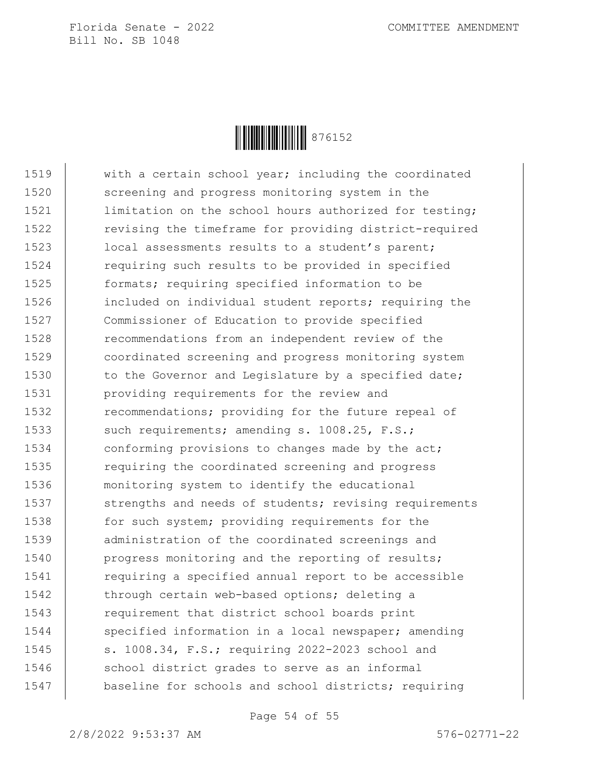

1519 with a certain school year; including the coordinated 1520 screening and progress monitoring system in the 1521 | limitation on the school hours authorized for testing; 1522 **revising the timeframe for providing district-required** 1523 | local assessments results to a student's parent; 1524 requiring such results to be provided in specified 1525 formats; requiring specified information to be 1526 included on individual student reports; requiring the 1527 Commissioner of Education to provide specified 1528 **recommendations from an independent review of the** 1529 coordinated screening and progress monitoring system 1530 to the Governor and Legislature by a specified date; 1531 providing requirements for the review and 1532 recommendations; providing for the future repeal of 1533 such requirements; amending s. 1008.25, F.S.; 1534 conforming provisions to changes made by the act; 1535 **requiring the coordinated screening and progress** 1536 monitoring system to identify the educational 1537 strengths and needs of students; revising requirements 1538 for such system; providing requirements for the 1539 administration of the coordinated screenings and 1540 **progress monitoring and the reporting of results;** 1541 | requiring a specified annual report to be accessible 1542 | through certain web-based options; deleting a 1543 **requirement that district school boards print** 1544 specified information in a local newspaper; amending 1545 | s. 1008.34, F.S.; requiring 2022-2023 school and 1546 school district grades to serve as an informal 1547 | baseline for schools and school districts; requiring